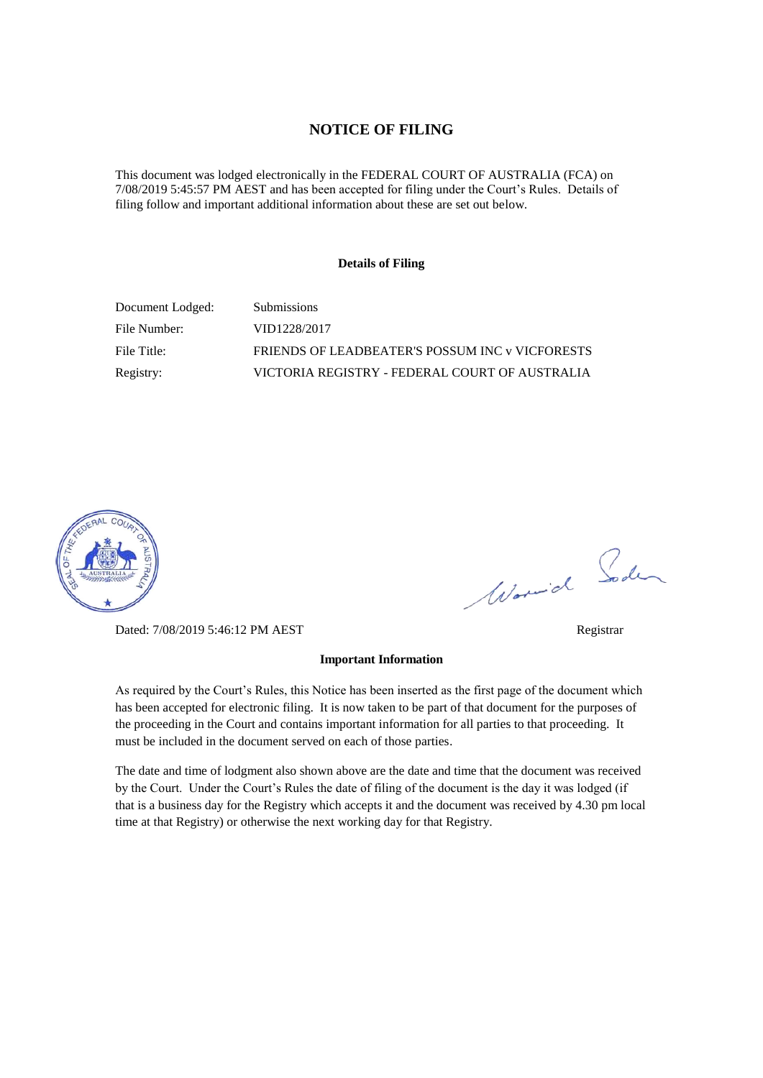### **NOTICE OF FILING**

This document was lodged electronically in the FEDERAL COURT OF AUSTRALIA (FCA) on 7/08/2019 5:45:57 PM AEST and has been accepted for filing under the Court's Rules. Details of filing follow and important additional information about these are set out below.

### **Details of Filing**

| Document Lodged: | <b>Submissions</b>                              |
|------------------|-------------------------------------------------|
| File Number:     | VID1228/2017                                    |
| File Title:      | FRIENDS OF LEADBEATER'S POSSUM INC v VICFORESTS |
| Registry:        | VICTORIA REGISTRY - FEDERAL COURT OF AUSTRALIA  |



Dated: 7/08/2019 5:46:12 PM AEST Registrar

**Important Information** 

As required by the Court's Rules, this Notice has been inserted as the first page of the document which has been accepted for electronic filing. It is now taken to be part of that document for the purposes of the proceeding in the Court and contains important information for all parties to that proceeding. It must be included in the document served on each of those parties.

The date and time of lodgment also shown above are the date and time that the document was received by the Court. Under the Court's Rules the date of filing of the document is the day it was lodged (if that is a business day for the Registry which accepts it and the document was received by 4.30 pm local time at that Registry) or otherwise the next working day for that Registry.

Worwich Soden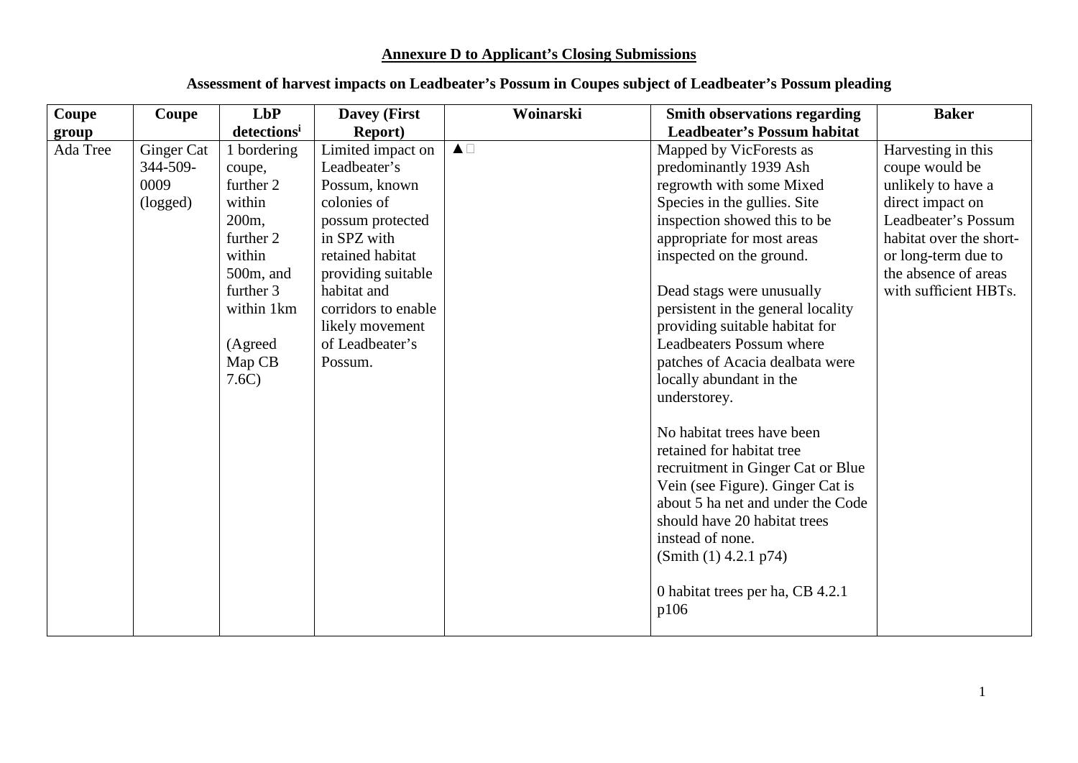# **Annexure D to Applicant's Closing Submissions**

| Coupe    | Coupe                                      | <b>LbP</b>                                                                                                                                                       | <b>Davey (First</b>                                                                                                                                                                                                                   | Woinarski             | <b>Smith observations regarding</b>                                                                                                                                                                                                                                                                                                                                                                                                                                                                                                                                                                                                                                                                                             | <b>Baker</b>                                                                                                                                                                                             |
|----------|--------------------------------------------|------------------------------------------------------------------------------------------------------------------------------------------------------------------|---------------------------------------------------------------------------------------------------------------------------------------------------------------------------------------------------------------------------------------|-----------------------|---------------------------------------------------------------------------------------------------------------------------------------------------------------------------------------------------------------------------------------------------------------------------------------------------------------------------------------------------------------------------------------------------------------------------------------------------------------------------------------------------------------------------------------------------------------------------------------------------------------------------------------------------------------------------------------------------------------------------------|----------------------------------------------------------------------------------------------------------------------------------------------------------------------------------------------------------|
| group    |                                            | detections <sup>i</sup>                                                                                                                                          | <b>Report</b> )                                                                                                                                                                                                                       |                       | <b>Leadbeater's Possum habitat</b>                                                                                                                                                                                                                                                                                                                                                                                                                                                                                                                                                                                                                                                                                              |                                                                                                                                                                                                          |
| Ada Tree | Ginger Cat<br>344-509-<br>0009<br>(logged) | 1 bordering<br>coupe,<br>further 2<br>within<br>200 <sub>m</sub><br>further 2<br>within<br>$500m$ , and<br>further 3<br>within 1km<br>(Agreed<br>Map CB<br>7.6C) | Limited impact on<br>Leadbeater's<br>Possum, known<br>colonies of<br>possum protected<br>in SPZ with<br>retained habitat<br>providing suitable<br>habitat and<br>corridors to enable<br>likely movement<br>of Leadbeater's<br>Possum. | $\blacktriangle \Box$ | Mapped by VicForests as<br>predominantly 1939 Ash<br>regrowth with some Mixed<br>Species in the gullies. Site<br>inspection showed this to be<br>appropriate for most areas<br>inspected on the ground.<br>Dead stags were unusually<br>persistent in the general locality<br>providing suitable habitat for<br><b>Leadbeaters Possum where</b><br>patches of Acacia dealbata were<br>locally abundant in the<br>understorey.<br>No habitat trees have been<br>retained for habitat tree<br>recruitment in Ginger Cat or Blue<br>Vein (see Figure). Ginger Cat is<br>about 5 ha net and under the Code<br>should have 20 habitat trees<br>instead of none.<br>(Smith (1) 4.2.1 p74)<br>0 habitat trees per ha, CB 4.2.1<br>p106 | Harvesting in this<br>coupe would be<br>unlikely to have a<br>direct impact on<br>Leadbeater's Possum<br>habitat over the short-<br>or long-term due to<br>the absence of areas<br>with sufficient HBTs. |
|          |                                            |                                                                                                                                                                  |                                                                                                                                                                                                                                       |                       |                                                                                                                                                                                                                                                                                                                                                                                                                                                                                                                                                                                                                                                                                                                                 |                                                                                                                                                                                                          |

# **Assessment of harvest impacts on Leadbeater's Possum in Coupes subject of Leadbeater's Possum pleading**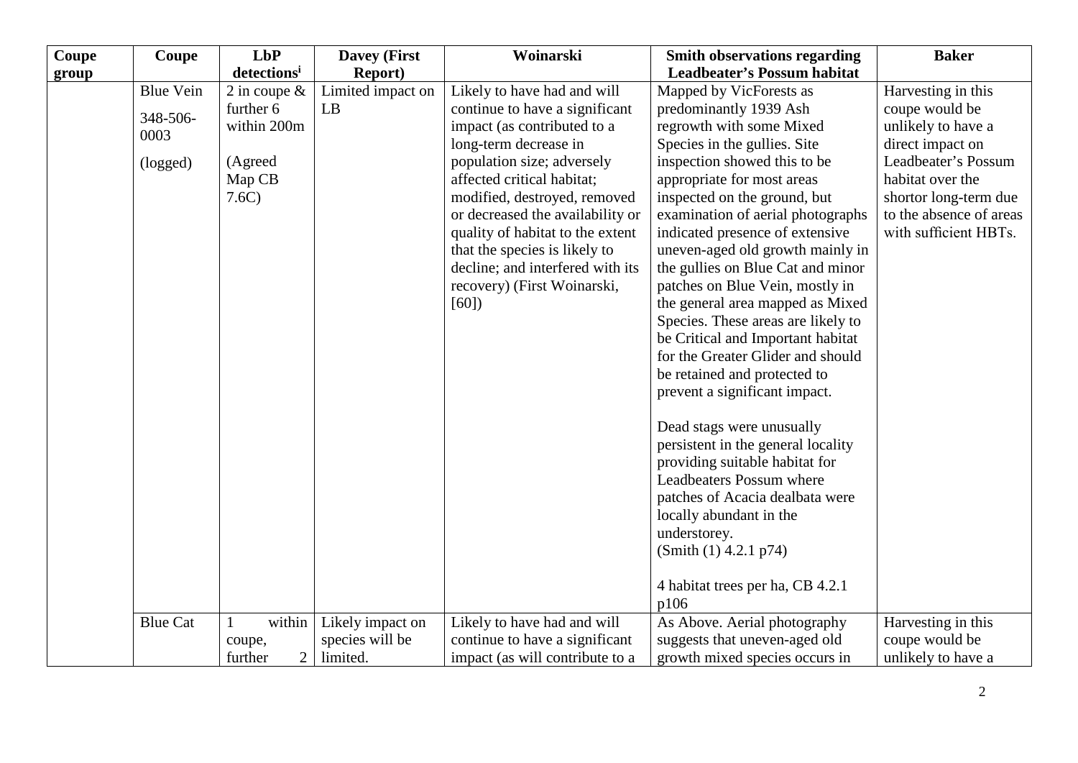| Coupe | Coupe                                            | LbP                                                                      | <b>Davey (First</b>                             | Woinarski                                                                                                                                                                                                                                                                                                                                                      | <b>Smith observations regarding</b>                                                                                                                                                                                                                                                                                                                                                                                                                                 | <b>Baker</b>                                                                                                                                                                                           |
|-------|--------------------------------------------------|--------------------------------------------------------------------------|-------------------------------------------------|----------------------------------------------------------------------------------------------------------------------------------------------------------------------------------------------------------------------------------------------------------------------------------------------------------------------------------------------------------------|---------------------------------------------------------------------------------------------------------------------------------------------------------------------------------------------------------------------------------------------------------------------------------------------------------------------------------------------------------------------------------------------------------------------------------------------------------------------|--------------------------------------------------------------------------------------------------------------------------------------------------------------------------------------------------------|
| group |                                                  | detections <sup>i</sup>                                                  | <b>Report</b> )                                 |                                                                                                                                                                                                                                                                                                                                                                | <b>Leadbeater's Possum habitat</b>                                                                                                                                                                                                                                                                                                                                                                                                                                  |                                                                                                                                                                                                        |
|       | <b>Blue Vein</b><br>348-506-<br>0003<br>(logged) | 2 in coupe $\&$<br>further 6<br>within 200m<br>(Agreed<br>Map CB<br>7.6C | Limited impact on<br>LB                         | Likely to have had and will<br>continue to have a significant<br>impact (as contributed to a<br>long-term decrease in<br>population size; adversely<br>affected critical habitat;<br>modified, destroyed, removed<br>or decreased the availability or<br>quality of habitat to the extent<br>that the species is likely to<br>decline; and interfered with its | Mapped by VicForests as<br>predominantly 1939 Ash<br>regrowth with some Mixed<br>Species in the gullies. Site<br>inspection showed this to be<br>appropriate for most areas<br>inspected on the ground, but<br>examination of aerial photographs<br>indicated presence of extensive<br>uneven-aged old growth mainly in<br>the gullies on Blue Cat and minor                                                                                                        | Harvesting in this<br>coupe would be<br>unlikely to have a<br>direct impact on<br>Leadbeater's Possum<br>habitat over the<br>shortor long-term due<br>to the absence of areas<br>with sufficient HBTs. |
|       |                                                  |                                                                          |                                                 | recovery) (First Woinarski,<br>[60]                                                                                                                                                                                                                                                                                                                            | patches on Blue Vein, mostly in<br>the general area mapped as Mixed<br>Species. These areas are likely to<br>be Critical and Important habitat<br>for the Greater Glider and should<br>be retained and protected to<br>prevent a significant impact.<br>Dead stags were unusually<br>persistent in the general locality<br>providing suitable habitat for<br>Leadbeaters Possum where<br>patches of Acacia dealbata were<br>locally abundant in the<br>understorey. |                                                                                                                                                                                                        |
|       |                                                  |                                                                          |                                                 |                                                                                                                                                                                                                                                                                                                                                                | (Smith (1) 4.2.1 p74)<br>4 habitat trees per ha, CB 4.2.1<br>p106                                                                                                                                                                                                                                                                                                                                                                                                   |                                                                                                                                                                                                        |
|       | <b>Blue Cat</b>                                  | within<br>1<br>coupe,<br>$\overline{2}$<br>further                       | Likely impact on<br>species will be<br>limited. | Likely to have had and will<br>continue to have a significant<br>impact (as will contribute to a                                                                                                                                                                                                                                                               | As Above. Aerial photography<br>suggests that uneven-aged old<br>growth mixed species occurs in                                                                                                                                                                                                                                                                                                                                                                     | Harvesting in this<br>coupe would be<br>unlikely to have a                                                                                                                                             |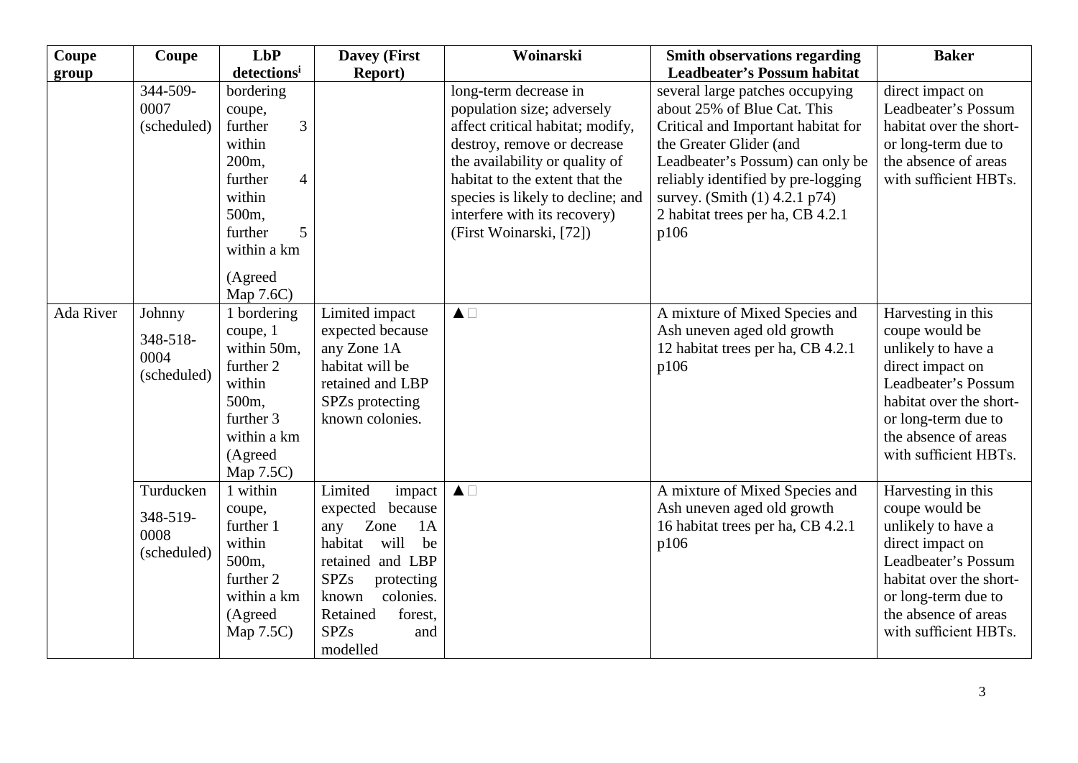| Coupe     | Coupe       | <b>LbP</b>                | <b>Davey (First</b>       | Woinarski                         | <b>Smith observations regarding</b> | <b>Baker</b>            |
|-----------|-------------|---------------------------|---------------------------|-----------------------------------|-------------------------------------|-------------------------|
| group     |             | detectionsi               | <b>Report</b> )           |                                   | <b>Leadbeater's Possum habitat</b>  |                         |
|           | 344-509-    | bordering                 |                           | long-term decrease in             | several large patches occupying     | direct impact on        |
|           | 0007        | coupe,                    |                           | population size; adversely        | about 25% of Blue Cat. This         | Leadbeater's Possum     |
|           | (scheduled) | 3<br>further              |                           | affect critical habitat; modify,  | Critical and Important habitat for  | habitat over the short- |
|           |             | within                    |                           | destroy, remove or decrease       | the Greater Glider (and             | or long-term due to     |
|           |             | 200 <sub>m</sub>          |                           | the availability or quality of    | Leadbeater's Possum) can only be    | the absence of areas    |
|           |             | further<br>$\overline{4}$ |                           | habitat to the extent that the    | reliably identified by pre-logging  | with sufficient HBTs.   |
|           |             | within                    |                           | species is likely to decline; and | survey. (Smith (1) 4.2.1 p74)       |                         |
|           |             | 500m,                     |                           | interfere with its recovery)      | 2 habitat trees per ha, CB 4.2.1    |                         |
|           |             | 5<br>further              |                           | (First Woinarski, [72])           | p106                                |                         |
|           |             | within a km               |                           |                                   |                                     |                         |
|           |             | (Agreed                   |                           |                                   |                                     |                         |
|           |             | Map 7.6C)                 |                           |                                   |                                     |                         |
| Ada River | Johnny      | 1 bordering               | Limited impact            | $\blacktriangle \Box$             | A mixture of Mixed Species and      | Harvesting in this      |
|           |             | coupe, 1                  | expected because          |                                   | Ash uneven aged old growth          | coupe would be          |
|           | 348-518-    | within 50m,               | any Zone 1A               |                                   | 12 habitat trees per ha, CB 4.2.1   | unlikely to have a      |
|           | 0004        | further 2                 | habitat will be           |                                   | p106                                | direct impact on        |
|           | (scheduled) | within                    | retained and LBP          |                                   |                                     | Leadbeater's Possum     |
|           |             | 500m,                     | SPZs protecting           |                                   |                                     | habitat over the short- |
|           |             | further 3                 | known colonies.           |                                   |                                     | or long-term due to     |
|           |             | within a km               |                           |                                   |                                     | the absence of areas    |
|           |             | (Agreed                   |                           |                                   |                                     | with sufficient HBTs.   |
|           |             | Map 7.5C)                 |                           |                                   |                                     |                         |
|           | Turducken   | 1 within                  | Limited<br>impact         | $\blacktriangle \Box$             | A mixture of Mixed Species and      | Harvesting in this      |
|           |             | coupe,                    | expected because          |                                   | Ash uneven aged old growth          | coupe would be          |
|           | 348-519-    | further 1                 | Zone<br>1A<br>any         |                                   | 16 habitat trees per ha, CB 4.2.1   | unlikely to have a      |
|           | 0008        | within                    | habitat<br>be<br>will     |                                   | p106                                | direct impact on        |
|           | (scheduled) | 500m,                     | retained and LBP          |                                   |                                     | Leadbeater's Possum     |
|           |             | further 2                 | <b>SPZs</b><br>protecting |                                   |                                     | habitat over the short- |
|           |             | within a km               | colonies.<br>known        |                                   |                                     | or long-term due to     |
|           |             | (Agreed                   | Retained<br>forest,       |                                   |                                     | the absence of areas    |
|           |             | Map 7.5C)                 | <b>SPZs</b><br>and        |                                   |                                     | with sufficient HBTs.   |
|           |             |                           | modelled                  |                                   |                                     |                         |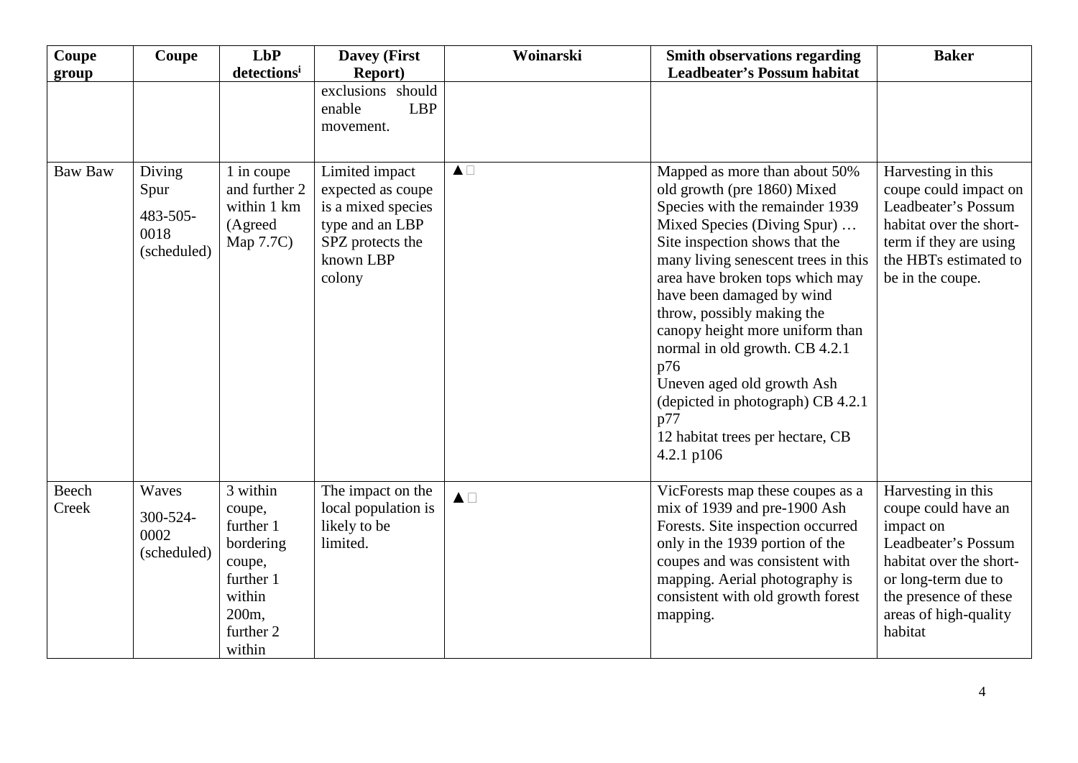| Coupe          | Coupe                                             | LbP<br>detectionsi                                                                                            | <b>Davey (First</b><br><b>Report</b> )                                                                                  | Woinarski             | <b>Smith observations regarding</b><br><b>Leadbeater's Possum habitat</b>                                                                                                                                                                                                                                                                                                                                                                                                                                     | <b>Baker</b>                                                                                                                                                                                 |
|----------------|---------------------------------------------------|---------------------------------------------------------------------------------------------------------------|-------------------------------------------------------------------------------------------------------------------------|-----------------------|---------------------------------------------------------------------------------------------------------------------------------------------------------------------------------------------------------------------------------------------------------------------------------------------------------------------------------------------------------------------------------------------------------------------------------------------------------------------------------------------------------------|----------------------------------------------------------------------------------------------------------------------------------------------------------------------------------------------|
| group          |                                                   |                                                                                                               | exclusions should<br><b>LBP</b><br>enable<br>movement.                                                                  |                       |                                                                                                                                                                                                                                                                                                                                                                                                                                                                                                               |                                                                                                                                                                                              |
| <b>Baw Baw</b> | Diving<br>Spur<br>483-505-<br>0018<br>(scheduled) | 1 in coupe<br>and further 2<br>within 1 km<br>(Agreed<br>Map 7.7C)                                            | Limited impact<br>expected as coupe<br>is a mixed species<br>type and an LBP<br>SPZ protects the<br>known LBP<br>colony | $\blacktriangle \Box$ | Mapped as more than about 50%<br>old growth (pre 1860) Mixed<br>Species with the remainder 1939<br>Mixed Species (Diving Spur)<br>Site inspection shows that the<br>many living senescent trees in this<br>area have broken tops which may<br>have been damaged by wind<br>throw, possibly making the<br>canopy height more uniform than<br>normal in old growth. CB 4.2.1<br>p76<br>Uneven aged old growth Ash<br>(depicted in photograph) CB 4.2.1<br>p77<br>12 habitat trees per hectare, CB<br>4.2.1 p106 | Harvesting in this<br>coupe could impact on<br>Leadbeater's Possum<br>habitat over the short-<br>term if they are using<br>the HBTs estimated to<br>be in the coupe.                         |
| Beech<br>Creek | Waves<br>300-524-<br>0002<br>(scheduled)          | 3 within<br>coupe,<br>further 1<br>bordering<br>coupe,<br>further 1<br>within<br>200m,<br>further 2<br>within | The impact on the<br>local population is<br>likely to be<br>limited.                                                    | $\blacktriangle \Box$ | VicForests map these coupes as a<br>mix of 1939 and pre-1900 Ash<br>Forests. Site inspection occurred<br>only in the 1939 portion of the<br>coupes and was consistent with<br>mapping. Aerial photography is<br>consistent with old growth forest<br>mapping.                                                                                                                                                                                                                                                 | Harvesting in this<br>coupe could have an<br>impact on<br>Leadbeater's Possum<br>habitat over the short-<br>or long-term due to<br>the presence of these<br>areas of high-quality<br>habitat |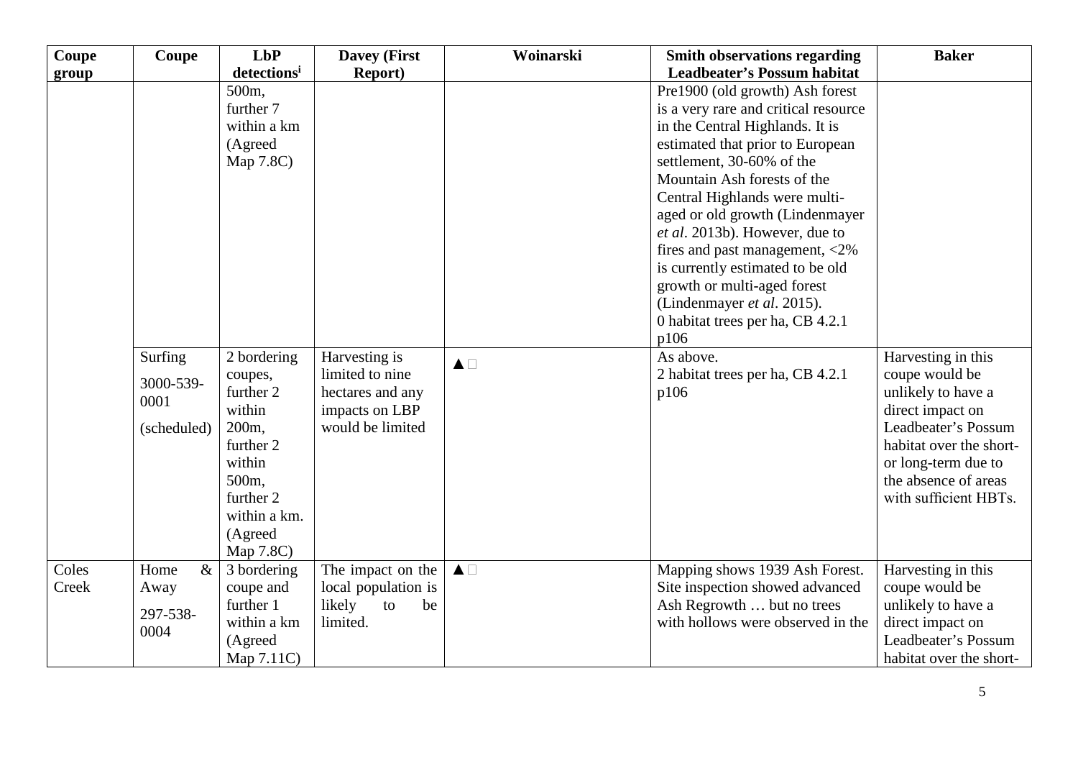| Coupe | Coupe       | LbP                      | <b>Davey (First</b>                      | Woinarski             | <b>Smith observations regarding</b>                           | <b>Baker</b>                         |
|-------|-------------|--------------------------|------------------------------------------|-----------------------|---------------------------------------------------------------|--------------------------------------|
| group |             | detectionsi              | <b>Report</b> )                          |                       | <b>Leadbeater's Possum habitat</b>                            |                                      |
|       |             | 500m,                    |                                          |                       | Pre1900 (old growth) Ash forest                               |                                      |
|       |             | further 7                |                                          |                       | is a very rare and critical resource                          |                                      |
|       |             | within a km              |                                          |                       | in the Central Highlands. It is                               |                                      |
|       |             | (Agreed                  |                                          |                       | estimated that prior to European                              |                                      |
|       |             | Map 7.8C)                |                                          |                       | settlement, 30-60% of the                                     |                                      |
|       |             |                          |                                          |                       | Mountain Ash forests of the                                   |                                      |
|       |             |                          |                                          |                       | Central Highlands were multi-                                 |                                      |
|       |             |                          |                                          |                       | aged or old growth (Lindenmayer                               |                                      |
|       |             |                          |                                          |                       | et al. 2013b). However, due to                                |                                      |
|       |             |                          |                                          |                       | fires and past management, <2%                                |                                      |
|       |             |                          |                                          |                       | is currently estimated to be old                              |                                      |
|       |             |                          |                                          |                       | growth or multi-aged forest                                   |                                      |
|       |             |                          |                                          |                       | (Lindenmayer et al. 2015).                                    |                                      |
|       |             |                          |                                          |                       | 0 habitat trees per ha, CB 4.2.1                              |                                      |
|       |             |                          |                                          |                       | p106                                                          |                                      |
|       | Surfing     | 2 bordering              | Harvesting is                            | $\blacktriangle \Box$ | As above.                                                     | Harvesting in this                   |
|       | 3000-539-   | coupes,                  | limited to nine                          |                       | 2 habitat trees per ha, CB 4.2.1                              | coupe would be                       |
|       | 0001        | further 2                | hectares and any                         |                       | p106                                                          | unlikely to have a                   |
|       |             | within                   | impacts on LBP                           |                       |                                                               | direct impact on                     |
|       | (scheduled) | 200 <sub>m</sub>         | would be limited                         |                       |                                                               | Leadbeater's Possum                  |
|       |             | further 2                |                                          |                       |                                                               | habitat over the short-              |
|       |             | within                   |                                          |                       |                                                               | or long-term due to                  |
|       |             | 500m,                    |                                          |                       |                                                               | the absence of areas                 |
|       |             | further 2                |                                          |                       |                                                               | with sufficient HBTs.                |
|       |             | within a km.             |                                          |                       |                                                               |                                      |
|       |             | (Agreed                  |                                          |                       |                                                               |                                      |
| Coles | $\&$        | Map 7.8C)                |                                          | $\blacktriangle \Box$ |                                                               |                                      |
| Creek | Home        | 3 bordering<br>coupe and | The impact on the<br>local population is |                       | Mapping shows 1939 Ash Forest.                                | Harvesting in this<br>coupe would be |
|       | Away        | further 1                | likely<br>to<br>be                       |                       | Site inspection showed advanced<br>Ash Regrowth  but no trees | unlikely to have a                   |
|       | 297-538-    | within a km              | limited.                                 |                       | with hollows were observed in the                             | direct impact on                     |
|       | 0004        |                          |                                          |                       |                                                               | Leadbeater's Possum                  |
|       |             | (Agreed                  |                                          |                       |                                                               | habitat over the short-              |
|       |             | Map 7.11C)               |                                          |                       |                                                               |                                      |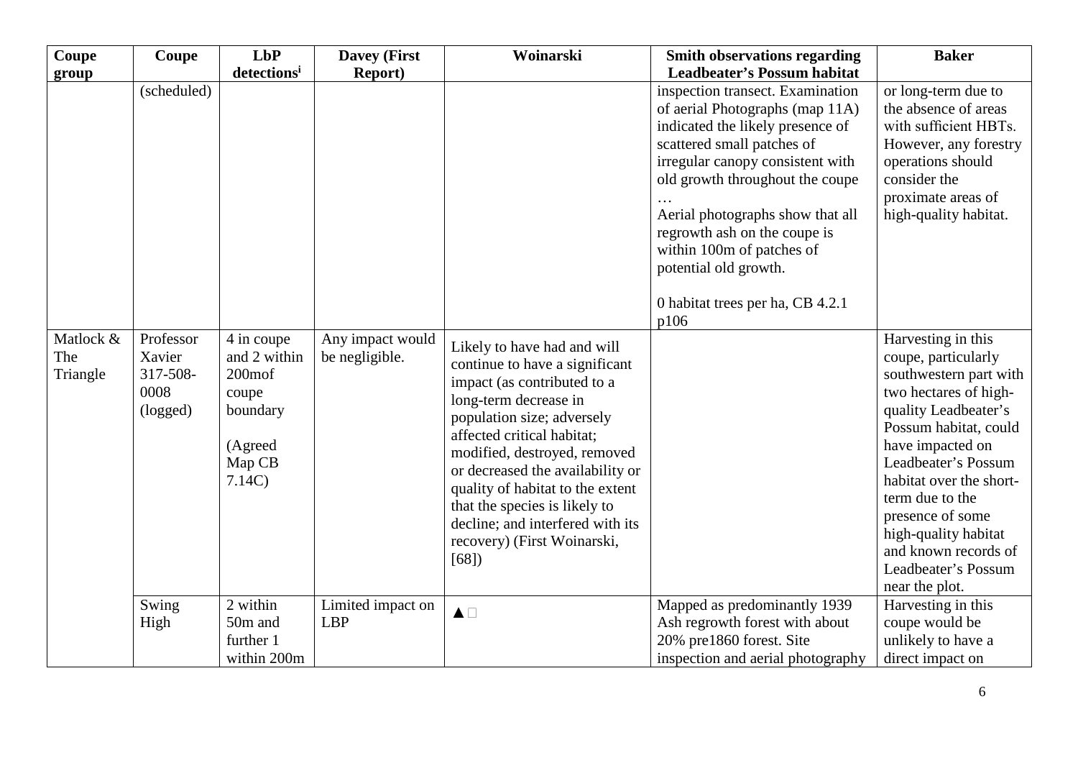| Coupe           | Coupe                                  | <b>LbP</b>                                                                            | <b>Davey (First</b>             | Woinarski                                                                                                                                                                                                                                                                                                                                                                                             | <b>Smith observations regarding</b>                                                                                                                                                                                                                                                                                                                                                | <b>Baker</b>                                                                                                                                                                                                                                                                                                                  |
|-----------------|----------------------------------------|---------------------------------------------------------------------------------------|---------------------------------|-------------------------------------------------------------------------------------------------------------------------------------------------------------------------------------------------------------------------------------------------------------------------------------------------------------------------------------------------------------------------------------------------------|------------------------------------------------------------------------------------------------------------------------------------------------------------------------------------------------------------------------------------------------------------------------------------------------------------------------------------------------------------------------------------|-------------------------------------------------------------------------------------------------------------------------------------------------------------------------------------------------------------------------------------------------------------------------------------------------------------------------------|
| group           |                                        | detectionsi                                                                           | <b>Report</b> )                 |                                                                                                                                                                                                                                                                                                                                                                                                       | <b>Leadbeater's Possum habitat</b>                                                                                                                                                                                                                                                                                                                                                 |                                                                                                                                                                                                                                                                                                                               |
| Matlock &       | (scheduled)<br>Professor               | 4 in coupe                                                                            | Any impact would                |                                                                                                                                                                                                                                                                                                                                                                                                       | inspection transect. Examination<br>of aerial Photographs (map 11A)<br>indicated the likely presence of<br>scattered small patches of<br>irregular canopy consistent with<br>old growth throughout the coupe<br>Aerial photographs show that all<br>regrowth ash on the coupe is<br>within 100m of patches of<br>potential old growth.<br>0 habitat trees per ha, CB 4.2.1<br>p106 | or long-term due to<br>the absence of areas<br>with sufficient HBTs.<br>However, any forestry<br>operations should<br>consider the<br>proximate areas of<br>high-quality habitat.<br>Harvesting in this                                                                                                                       |
| The<br>Triangle | Xavier<br>317-508-<br>0008<br>(logged) | and 2 within<br>200 <sub>mot</sub><br>coupe<br>boundary<br>(Agreed<br>Map CB<br>7.14C | be negligible.                  | Likely to have had and will<br>continue to have a significant<br>impact (as contributed to a<br>long-term decrease in<br>population size; adversely<br>affected critical habitat;<br>modified, destroyed, removed<br>or decreased the availability or<br>quality of habitat to the extent<br>that the species is likely to<br>decline; and interfered with its<br>recovery) (First Woinarski,<br>[68] |                                                                                                                                                                                                                                                                                                                                                                                    | coupe, particularly<br>southwestern part with<br>two hectares of high-<br>quality Leadbeater's<br>Possum habitat, could<br>have impacted on<br>Leadbeater's Possum<br>habitat over the short-<br>term due to the<br>presence of some<br>high-quality habitat<br>and known records of<br>Leadbeater's Possum<br>near the plot. |
|                 | Swing<br>High                          | 2 within<br>50m and<br>further 1<br>within 200m                                       | Limited impact on<br><b>LBP</b> | $\blacktriangle \Box$                                                                                                                                                                                                                                                                                                                                                                                 | Mapped as predominantly 1939<br>Ash regrowth forest with about<br>20% pre1860 forest. Site<br>inspection and aerial photography                                                                                                                                                                                                                                                    | Harvesting in this<br>coupe would be<br>unlikely to have a<br>direct impact on                                                                                                                                                                                                                                                |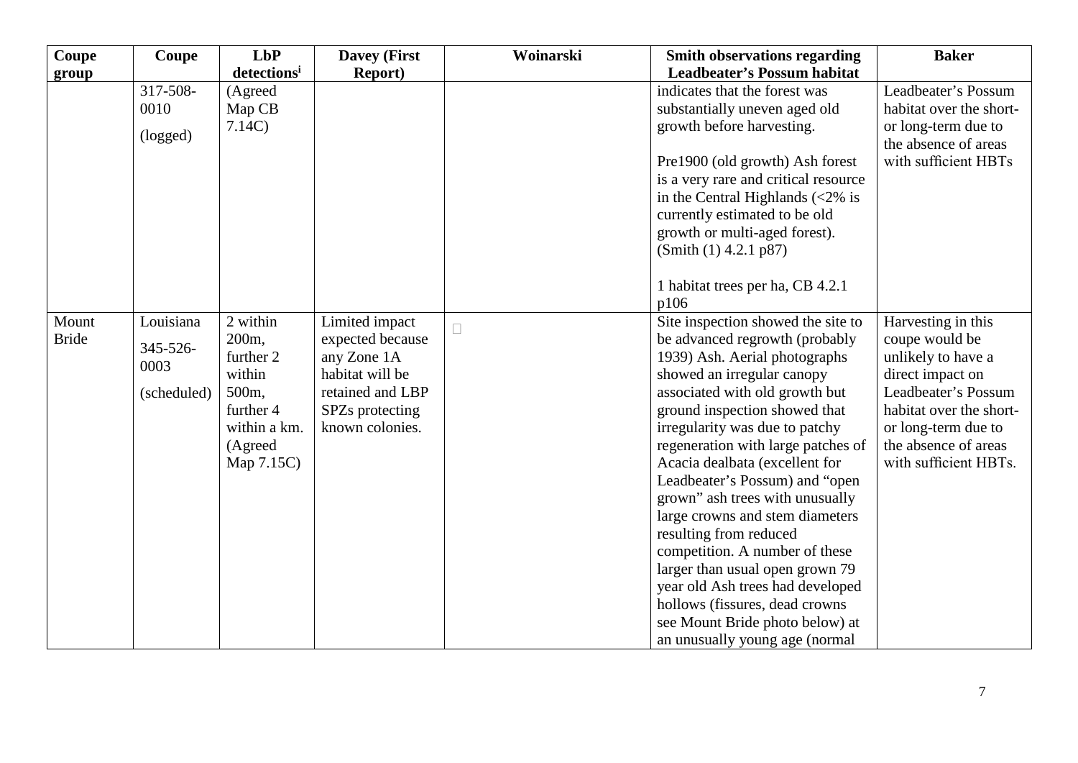| Coupe        | Coupe       | LbP                     | <b>Davey (First</b> | Woinarski | <b>Smith observations regarding</b>               | <b>Baker</b>            |
|--------------|-------------|-------------------------|---------------------|-----------|---------------------------------------------------|-------------------------|
| group        |             | detections <sup>i</sup> | <b>Report</b> )     |           | <b>Leadbeater's Possum habitat</b>                |                         |
|              | 317-508-    | (Agreed                 |                     |           | indicates that the forest was                     | Leadbeater's Possum     |
|              | 0010        | Map CB                  |                     |           | substantially uneven aged old                     | habitat over the short- |
|              | (logged)    | 7.14C                   |                     |           | growth before harvesting.                         | or long-term due to     |
|              |             |                         |                     |           |                                                   | the absence of areas    |
|              |             |                         |                     |           | Pre1900 (old growth) Ash forest                   | with sufficient HBTs    |
|              |             |                         |                     |           | is a very rare and critical resource              |                         |
|              |             |                         |                     |           | in the Central Highlands $\langle 2\% \rangle$ is |                         |
|              |             |                         |                     |           | currently estimated to be old                     |                         |
|              |             |                         |                     |           | growth or multi-aged forest).                     |                         |
|              |             |                         |                     |           | (Smith (1) 4.2.1 p87)                             |                         |
|              |             |                         |                     |           | 1 habitat trees per ha, CB 4.2.1                  |                         |
|              |             |                         |                     |           | p106                                              |                         |
| Mount        | Louisiana   | 2 within                | Limited impact      |           | Site inspection showed the site to                | Harvesting in this      |
| <b>Bride</b> |             | 200 <sub>m</sub>        | expected because    | П         | be advanced regrowth (probably                    | coupe would be          |
|              | 345-526-    | further 2               | any Zone 1A         |           | 1939) Ash. Aerial photographs                     | unlikely to have a      |
|              | 0003        | within                  | habitat will be     |           | showed an irregular canopy                        | direct impact on        |
|              | (scheduled) | 500m,                   | retained and LBP    |           | associated with old growth but                    | Leadbeater's Possum     |
|              |             | further 4               | SPZs protecting     |           | ground inspection showed that                     | habitat over the short- |
|              |             | within a km.            | known colonies.     |           | irregularity was due to patchy                    | or long-term due to     |
|              |             | (Agreed                 |                     |           | regeneration with large patches of                | the absence of areas    |
|              |             | Map 7.15C)              |                     |           | Acacia dealbata (excellent for                    | with sufficient HBTs.   |
|              |             |                         |                     |           | Leadbeater's Possum) and "open                    |                         |
|              |             |                         |                     |           | grown" ash trees with unusually                   |                         |
|              |             |                         |                     |           | large crowns and stem diameters                   |                         |
|              |             |                         |                     |           | resulting from reduced                            |                         |
|              |             |                         |                     |           | competition. A number of these                    |                         |
|              |             |                         |                     |           | larger than usual open grown 79                   |                         |
|              |             |                         |                     |           | year old Ash trees had developed                  |                         |
|              |             |                         |                     |           | hollows (fissures, dead crowns                    |                         |
|              |             |                         |                     |           | see Mount Bride photo below) at                   |                         |
|              |             |                         |                     |           | an unusually young age (normal                    |                         |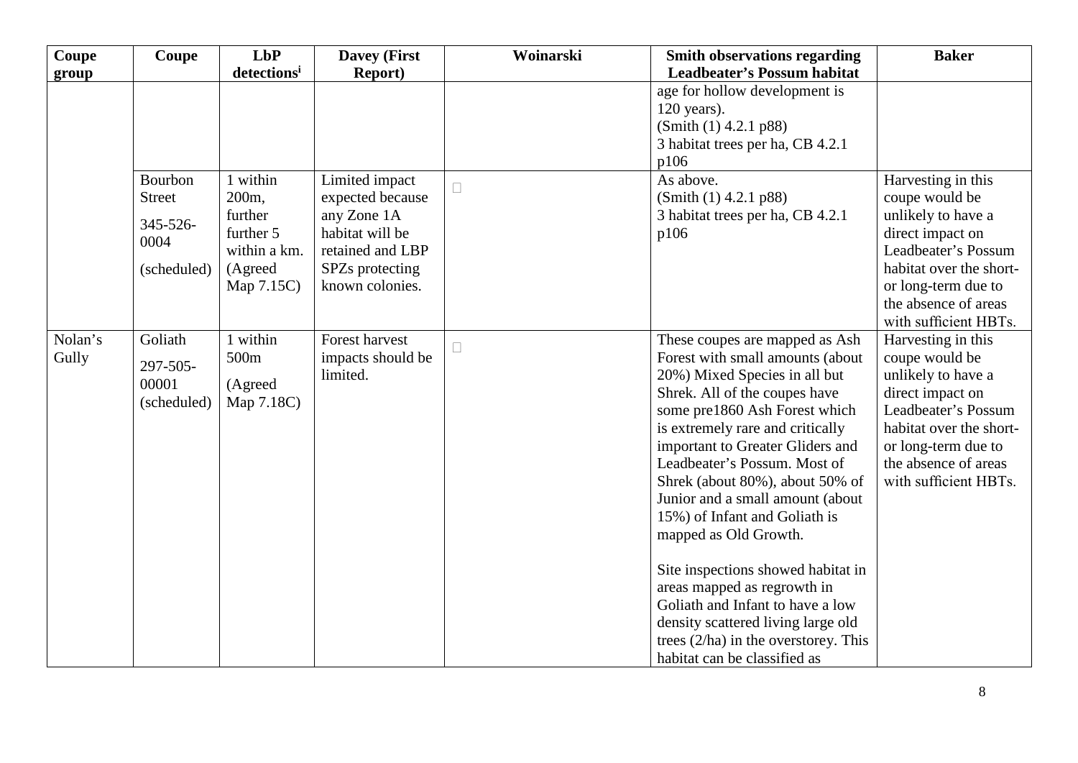| <b>Coupe</b>     | Coupe                                                       | <b>LbP</b>                                                                                    | <b>Davey (First</b>                                                                                                            | Woinarski | <b>Smith observations regarding</b>                                                                                                                                                                                                                                                                                                                                                                                                                                                                                                                                                                                                     | <b>Baker</b>                                                                                                                                                                                             |
|------------------|-------------------------------------------------------------|-----------------------------------------------------------------------------------------------|--------------------------------------------------------------------------------------------------------------------------------|-----------|-----------------------------------------------------------------------------------------------------------------------------------------------------------------------------------------------------------------------------------------------------------------------------------------------------------------------------------------------------------------------------------------------------------------------------------------------------------------------------------------------------------------------------------------------------------------------------------------------------------------------------------------|----------------------------------------------------------------------------------------------------------------------------------------------------------------------------------------------------------|
| group            |                                                             | detectionsi                                                                                   | <b>Report</b> )                                                                                                                |           | <b>Leadbeater's Possum habitat</b>                                                                                                                                                                                                                                                                                                                                                                                                                                                                                                                                                                                                      |                                                                                                                                                                                                          |
|                  |                                                             |                                                                                               |                                                                                                                                |           | age for hollow development is<br>$120$ years).<br>(Smith (1) 4.2.1 p88)<br>3 habitat trees per ha, CB 4.2.1<br>p106                                                                                                                                                                                                                                                                                                                                                                                                                                                                                                                     |                                                                                                                                                                                                          |
|                  | Bourbon<br><b>Street</b><br>345-526-<br>0004<br>(scheduled) | 1 within<br>200 <sub>m</sub><br>further<br>further 5<br>within a km.<br>(Agreed<br>Map 7.15C) | Limited impact<br>expected because<br>any Zone 1A<br>habitat will be<br>retained and LBP<br>SPZs protecting<br>known colonies. | $\Box$    | As above.<br>(Smith (1) 4.2.1 p88)<br>3 habitat trees per ha, CB 4.2.1<br>p106                                                                                                                                                                                                                                                                                                                                                                                                                                                                                                                                                          | Harvesting in this<br>coupe would be<br>unlikely to have a<br>direct impact on<br>Leadbeater's Possum<br>habitat over the short-<br>or long-term due to<br>the absence of areas<br>with sufficient HBTs. |
| Nolan's<br>Gully | Goliath<br>297-505-<br>00001<br>(scheduled)                 | 1 within<br>500m<br>(Agreed<br>Map 7.18C)                                                     | Forest harvest<br>impacts should be<br>limited.                                                                                | П         | These coupes are mapped as Ash<br>Forest with small amounts (about<br>20%) Mixed Species in all but<br>Shrek. All of the coupes have<br>some pre1860 Ash Forest which<br>is extremely rare and critically<br>important to Greater Gliders and<br>Leadbeater's Possum. Most of<br>Shrek (about 80%), about 50% of<br>Junior and a small amount (about<br>15%) of Infant and Goliath is<br>mapped as Old Growth.<br>Site inspections showed habitat in<br>areas mapped as regrowth in<br>Goliath and Infant to have a low<br>density scattered living large old<br>trees $(2/ha)$ in the overstorey. This<br>habitat can be classified as | Harvesting in this<br>coupe would be<br>unlikely to have a<br>direct impact on<br>Leadbeater's Possum<br>habitat over the short-<br>or long-term due to<br>the absence of areas<br>with sufficient HBTs. |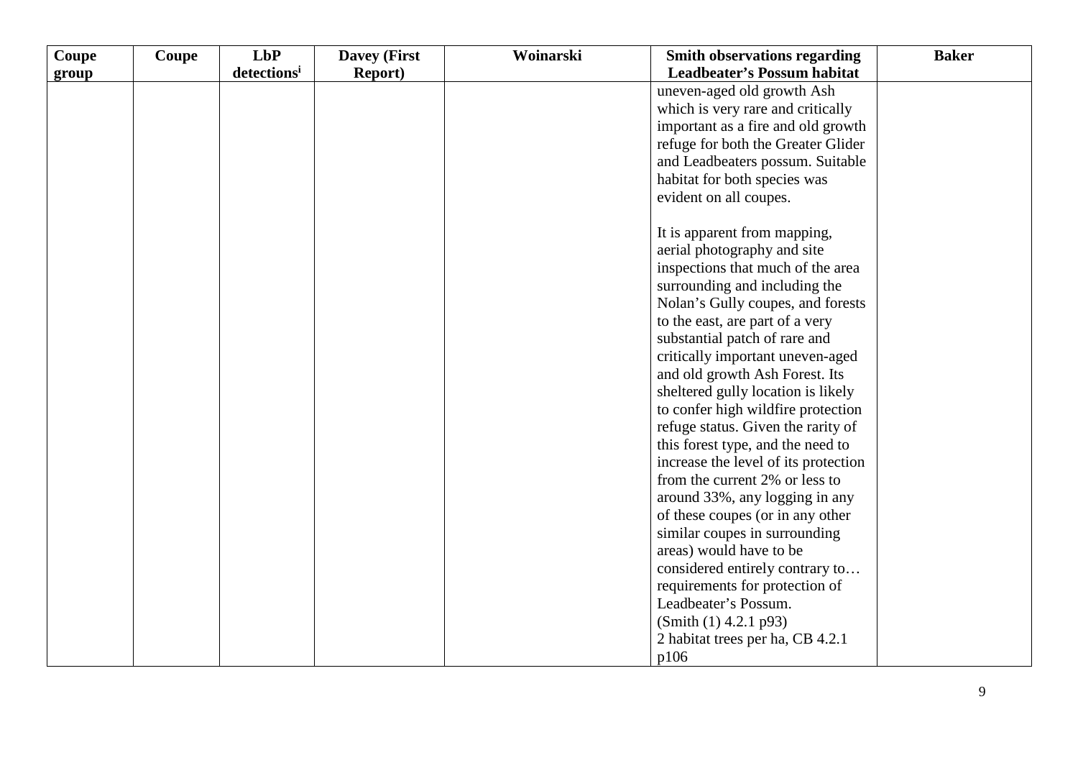| Coupe | Coupe | LbP                     | <b>Davey (First</b> | Woinarski | <b>Smith observations regarding</b>                               | <b>Baker</b> |
|-------|-------|-------------------------|---------------------|-----------|-------------------------------------------------------------------|--------------|
| group |       | detections <sup>i</sup> | <b>Report</b> )     |           | <b>Leadbeater's Possum habitat</b>                                |              |
|       |       |                         |                     |           | uneven-aged old growth Ash                                        |              |
|       |       |                         |                     |           | which is very rare and critically                                 |              |
|       |       |                         |                     |           | important as a fire and old growth                                |              |
|       |       |                         |                     |           | refuge for both the Greater Glider                                |              |
|       |       |                         |                     |           | and Leadbeaters possum. Suitable                                  |              |
|       |       |                         |                     |           | habitat for both species was                                      |              |
|       |       |                         |                     |           | evident on all coupes.                                            |              |
|       |       |                         |                     |           | It is apparent from mapping,                                      |              |
|       |       |                         |                     |           | aerial photography and site                                       |              |
|       |       |                         |                     |           | inspections that much of the area                                 |              |
|       |       |                         |                     |           | surrounding and including the                                     |              |
|       |       |                         |                     |           | Nolan's Gully coupes, and forests                                 |              |
|       |       |                         |                     |           | to the east, are part of a very                                   |              |
|       |       |                         |                     |           | substantial patch of rare and                                     |              |
|       |       |                         |                     |           | critically important uneven-aged                                  |              |
|       |       |                         |                     |           | and old growth Ash Forest. Its                                    |              |
|       |       |                         |                     |           | sheltered gully location is likely                                |              |
|       |       |                         |                     |           | to confer high wildfire protection                                |              |
|       |       |                         |                     |           | refuge status. Given the rarity of                                |              |
|       |       |                         |                     |           | this forest type, and the need to                                 |              |
|       |       |                         |                     |           | increase the level of its protection                              |              |
|       |       |                         |                     |           | from the current 2% or less to                                    |              |
|       |       |                         |                     |           | around 33%, any logging in any                                    |              |
|       |       |                         |                     |           | of these coupes (or in any other<br>similar coupes in surrounding |              |
|       |       |                         |                     |           | areas) would have to be                                           |              |
|       |       |                         |                     |           | considered entirely contrary to                                   |              |
|       |       |                         |                     |           | requirements for protection of                                    |              |
|       |       |                         |                     |           | Leadbeater's Possum.                                              |              |
|       |       |                         |                     |           | (Smith (1) 4.2.1 p93)                                             |              |
|       |       |                         |                     |           | 2 habitat trees per ha, CB 4.2.1                                  |              |
|       |       |                         |                     |           | p106                                                              |              |
|       |       |                         |                     |           |                                                                   |              |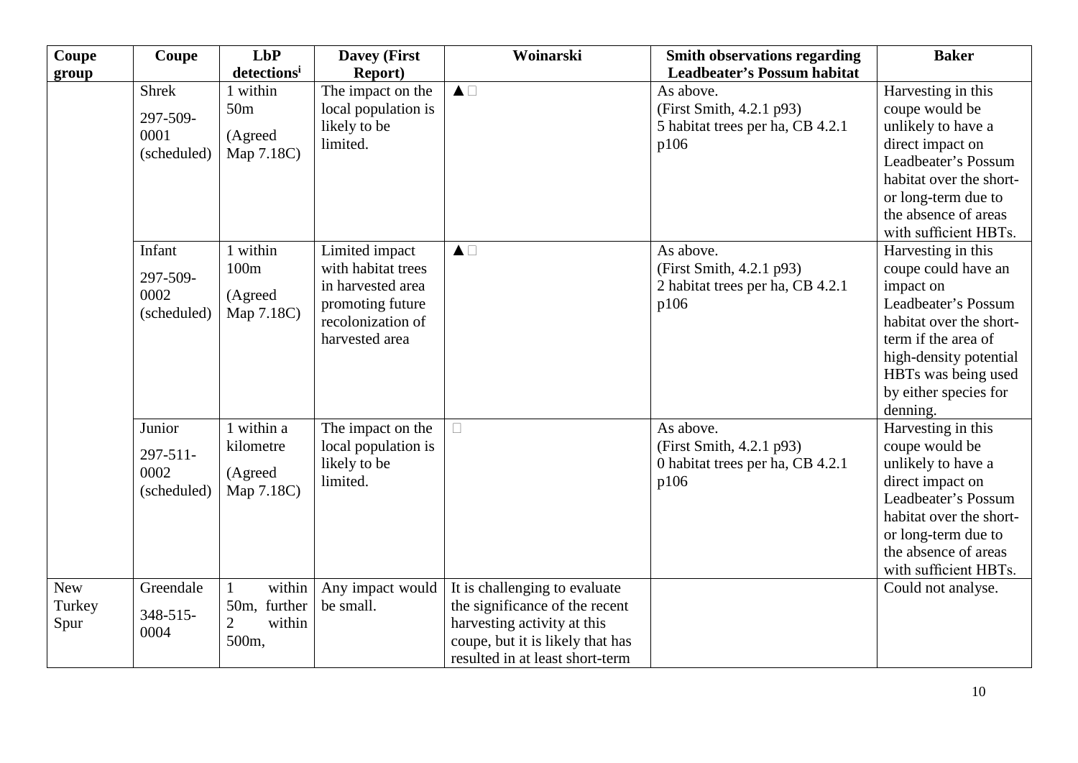| Coupe      | Coupe            | LbP                      | <b>Davey (First</b> | Woinarski                        | <b>Smith observations regarding</b> | <b>Baker</b>            |
|------------|------------------|--------------------------|---------------------|----------------------------------|-------------------------------------|-------------------------|
| group      |                  | detections <sup>i</sup>  | <b>Report</b> )     |                                  | <b>Leadbeater's Possum habitat</b>  |                         |
|            | <b>Shrek</b>     | 1 within                 | The impact on the   | $\blacktriangle \Box$            | As above.                           | Harvesting in this      |
|            | 297-509-         | 50 <sub>m</sub>          | local population is |                                  | (First Smith, 4.2.1 p93)            | coupe would be          |
|            | 0001             | (Agreed                  | likely to be        |                                  | 5 habitat trees per ha, CB 4.2.1    | unlikely to have a      |
|            | (scheduled)      | Map 7.18C)               | limited.            |                                  | p106                                | direct impact on        |
|            |                  |                          |                     |                                  |                                     | Leadbeater's Possum     |
|            |                  |                          |                     |                                  |                                     | habitat over the short- |
|            |                  |                          |                     |                                  |                                     | or long-term due to     |
|            |                  |                          |                     |                                  |                                     | the absence of areas    |
|            |                  |                          |                     |                                  |                                     | with sufficient HBTs.   |
|            | Infant           | 1 within                 | Limited impact      | $\blacktriangle \Box$            | As above.                           | Harvesting in this      |
|            | 297-509-         | 100m                     | with habitat trees  |                                  | (First Smith, 4.2.1 p93)            | coupe could have an     |
|            | 0002             |                          | in harvested area   |                                  | 2 habitat trees per ha, CB 4.2.1    | impact on               |
|            |                  | (Agreed                  | promoting future    |                                  | p106                                | Leadbeater's Possum     |
|            | (scheduled)      | Map 7.18C)               | recolonization of   |                                  |                                     | habitat over the short- |
|            |                  |                          | harvested area      |                                  |                                     | term if the area of     |
|            |                  |                          |                     |                                  |                                     | high-density potential  |
|            |                  |                          |                     |                                  |                                     | HBTs was being used     |
|            |                  |                          |                     |                                  |                                     | by either species for   |
|            |                  |                          |                     |                                  |                                     | denning.                |
|            | Junior           | 1 within a               | The impact on the   | $\Box$                           | As above.                           | Harvesting in this      |
|            |                  | kilometre                | local population is |                                  | (First Smith, 4.2.1 p93)            | coupe would be          |
|            | 297-511-<br>0002 |                          | likely to be        |                                  | 0 habitat trees per ha, CB 4.2.1    | unlikely to have a      |
|            |                  | (Agreed                  | limited.            |                                  | p106                                | direct impact on        |
|            | (scheduled)      | Map 7.18C)               |                     |                                  |                                     | Leadbeater's Possum     |
|            |                  |                          |                     |                                  |                                     | habitat over the short- |
|            |                  |                          |                     |                                  |                                     | or long-term due to     |
|            |                  |                          |                     |                                  |                                     | the absence of areas    |
|            |                  |                          |                     |                                  |                                     | with sufficient HBTs.   |
| <b>New</b> | Greendale        | within                   | Any impact would    | It is challenging to evaluate    |                                     | Could not analyse.      |
| Turkey     |                  | 50m, further             | be small.           | the significance of the recent   |                                     |                         |
| Spur       | 348-515-         | $\overline{2}$<br>within |                     | harvesting activity at this      |                                     |                         |
|            | 0004             | 500m,                    |                     | coupe, but it is likely that has |                                     |                         |
|            |                  |                          |                     | resulted in at least short-term  |                                     |                         |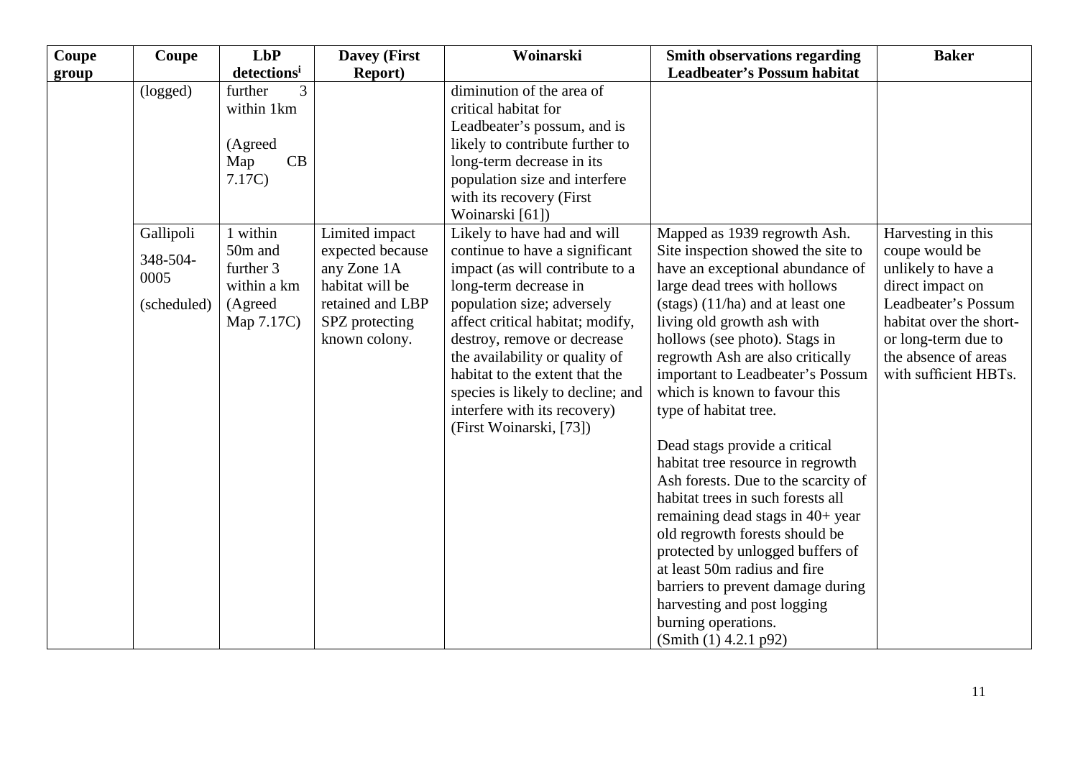| Coupe | Coupe       | LbP                     | <b>Davey (First</b> | Woinarski                         | <b>Smith observations regarding</b>                                      | <b>Baker</b>            |
|-------|-------------|-------------------------|---------------------|-----------------------------------|--------------------------------------------------------------------------|-------------------------|
| group |             | detections <sup>i</sup> | <b>Report</b> )     |                                   | <b>Leadbeater's Possum habitat</b>                                       |                         |
|       | (logged)    | further<br>3            |                     | diminution of the area of         |                                                                          |                         |
|       |             | within 1km              |                     | critical habitat for              |                                                                          |                         |
|       |             |                         |                     | Leadbeater's possum, and is       |                                                                          |                         |
|       |             | (Agreed                 |                     | likely to contribute further to   |                                                                          |                         |
|       |             | CB<br>Map               |                     | long-term decrease in its         |                                                                          |                         |
|       |             | 7.17C                   |                     | population size and interfere     |                                                                          |                         |
|       |             |                         |                     | with its recovery (First          |                                                                          |                         |
|       |             |                         |                     | Woinarski [61])                   |                                                                          |                         |
|       | Gallipoli   | 1 within                | Limited impact      | Likely to have had and will       | Mapped as 1939 regrowth Ash.                                             | Harvesting in this      |
|       | 348-504-    | 50m and                 | expected because    | continue to have a significant    | Site inspection showed the site to                                       | coupe would be          |
|       | 0005        | further 3               | any Zone 1A         | impact (as will contribute to a   | have an exceptional abundance of                                         | unlikely to have a      |
|       |             | within a km             | habitat will be     | long-term decrease in             | large dead trees with hollows                                            | direct impact on        |
|       | (scheduled) | (Agreed                 | retained and LBP    | population size; adversely        | $(\text{stags})$ $(11/ha)$ and at least one                              | Leadbeater's Possum     |
|       |             | Map 7.17C)              | SPZ protecting      | affect critical habitat; modify,  | living old growth ash with                                               | habitat over the short- |
|       |             |                         | known colony.       | destroy, remove or decrease       | hollows (see photo). Stags in                                            | or long-term due to     |
|       |             |                         |                     | the availability or quality of    | regrowth Ash are also critically                                         | the absence of areas    |
|       |             |                         |                     | habitat to the extent that the    | important to Leadbeater's Possum                                         | with sufficient HBTs.   |
|       |             |                         |                     | species is likely to decline; and | which is known to favour this                                            |                         |
|       |             |                         |                     | interfere with its recovery)      | type of habitat tree.                                                    |                         |
|       |             |                         |                     | (First Woinarski, [73])           |                                                                          |                         |
|       |             |                         |                     |                                   | Dead stags provide a critical                                            |                         |
|       |             |                         |                     |                                   | habitat tree resource in regrowth                                        |                         |
|       |             |                         |                     |                                   | Ash forests. Due to the scarcity of<br>habitat trees in such forests all |                         |
|       |             |                         |                     |                                   |                                                                          |                         |
|       |             |                         |                     |                                   | remaining dead stags in 40+ year<br>old regrowth forests should be       |                         |
|       |             |                         |                     |                                   | protected by unlogged buffers of                                         |                         |
|       |             |                         |                     |                                   | at least 50m radius and fire                                             |                         |
|       |             |                         |                     |                                   | barriers to prevent damage during                                        |                         |
|       |             |                         |                     |                                   | harvesting and post logging                                              |                         |
|       |             |                         |                     |                                   | burning operations.                                                      |                         |
|       |             |                         |                     |                                   | (Smith (1) 4.2.1 p92)                                                    |                         |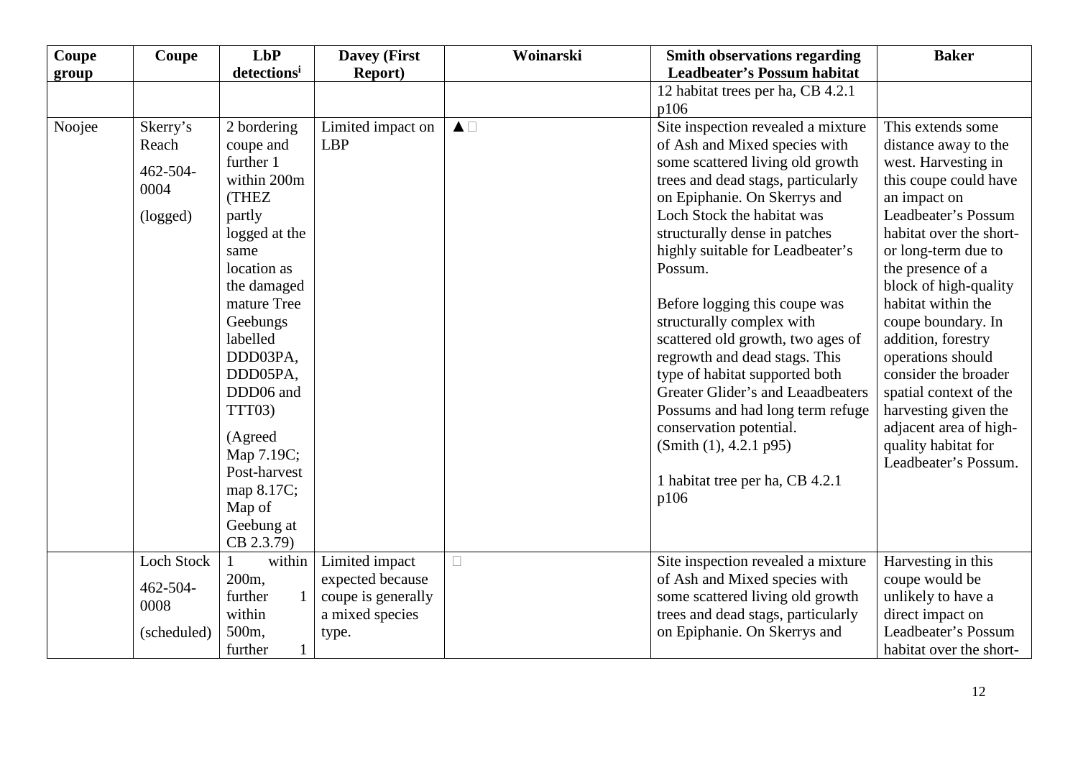| Coupe           | Coupe                                             | LbP                                                                                                                                                                                              | <b>Davey (First</b>                                                                  | Woinarski             | <b>Smith observations regarding</b>                                                                                                                                                                                                                                                                                                                                                                                                                                                                                | <b>Baker</b>                                                                                                                                                                                                                                                                                                            |
|-----------------|---------------------------------------------------|--------------------------------------------------------------------------------------------------------------------------------------------------------------------------------------------------|--------------------------------------------------------------------------------------|-----------------------|--------------------------------------------------------------------------------------------------------------------------------------------------------------------------------------------------------------------------------------------------------------------------------------------------------------------------------------------------------------------------------------------------------------------------------------------------------------------------------------------------------------------|-------------------------------------------------------------------------------------------------------------------------------------------------------------------------------------------------------------------------------------------------------------------------------------------------------------------------|
| group<br>Noojee | Skerry's<br>Reach<br>462-504-<br>0004<br>(logged) | detectionsi<br>2 bordering<br>coupe and<br>further 1<br>within 200m<br>(THEZ<br>partly<br>logged at the<br>same<br>location as<br>the damaged<br>mature Tree<br>Geebungs<br>labelled<br>DDD03PA, | <b>Report</b> )<br>Limited impact on<br><b>LBP</b>                                   | $\blacktriangle \Box$ | <b>Leadbeater's Possum habitat</b><br>12 habitat trees per ha, CB 4.2.1<br>p106<br>Site inspection revealed a mixture<br>of Ash and Mixed species with<br>some scattered living old growth<br>trees and dead stags, particularly<br>on Epiphanie. On Skerrys and<br>Loch Stock the habitat was<br>structurally dense in patches<br>highly suitable for Leadbeater's<br>Possum.<br>Before logging this coupe was<br>structurally complex with<br>scattered old growth, two ages of<br>regrowth and dead stags. This | This extends some<br>distance away to the<br>west. Harvesting in<br>this coupe could have<br>an impact on<br>Leadbeater's Possum<br>habitat over the short-<br>or long-term due to<br>the presence of a<br>block of high-quality<br>habitat within the<br>coupe boundary. In<br>addition, forestry<br>operations should |
|                 |                                                   | DDD05PA,<br>DDD06 and<br>TTT03)<br>(Agreed<br>Map 7.19C;<br>Post-harvest<br>map 8.17C;<br>Map of<br>Geebung at<br>CB 2.3.79)                                                                     |                                                                                      |                       | type of habitat supported both<br>Greater Glider's and Leaadbeaters<br>Possums and had long term refuge<br>conservation potential.<br>(Smith (1), 4.2.1 p95)<br>1 habitat tree per ha, CB 4.2.1<br>p106                                                                                                                                                                                                                                                                                                            | consider the broader<br>spatial context of the<br>harvesting given the<br>adjacent area of high-<br>quality habitat for<br>Leadbeater's Possum.                                                                                                                                                                         |
|                 | Loch Stock<br>462-504-<br>0008<br>(scheduled)     | within<br>1<br>200m,<br>further<br>within<br>500m,                                                                                                                                               | Limited impact<br>expected because<br>coupe is generally<br>a mixed species<br>type. | $\Box$                | Site inspection revealed a mixture<br>of Ash and Mixed species with<br>some scattered living old growth<br>trees and dead stags, particularly<br>on Epiphanie. On Skerrys and                                                                                                                                                                                                                                                                                                                                      | Harvesting in this<br>coupe would be<br>unlikely to have a<br>direct impact on<br>Leadbeater's Possum                                                                                                                                                                                                                   |
|                 |                                                   | further<br>$\mathbf{1}$                                                                                                                                                                          |                                                                                      |                       |                                                                                                                                                                                                                                                                                                                                                                                                                                                                                                                    | habitat over the short-                                                                                                                                                                                                                                                                                                 |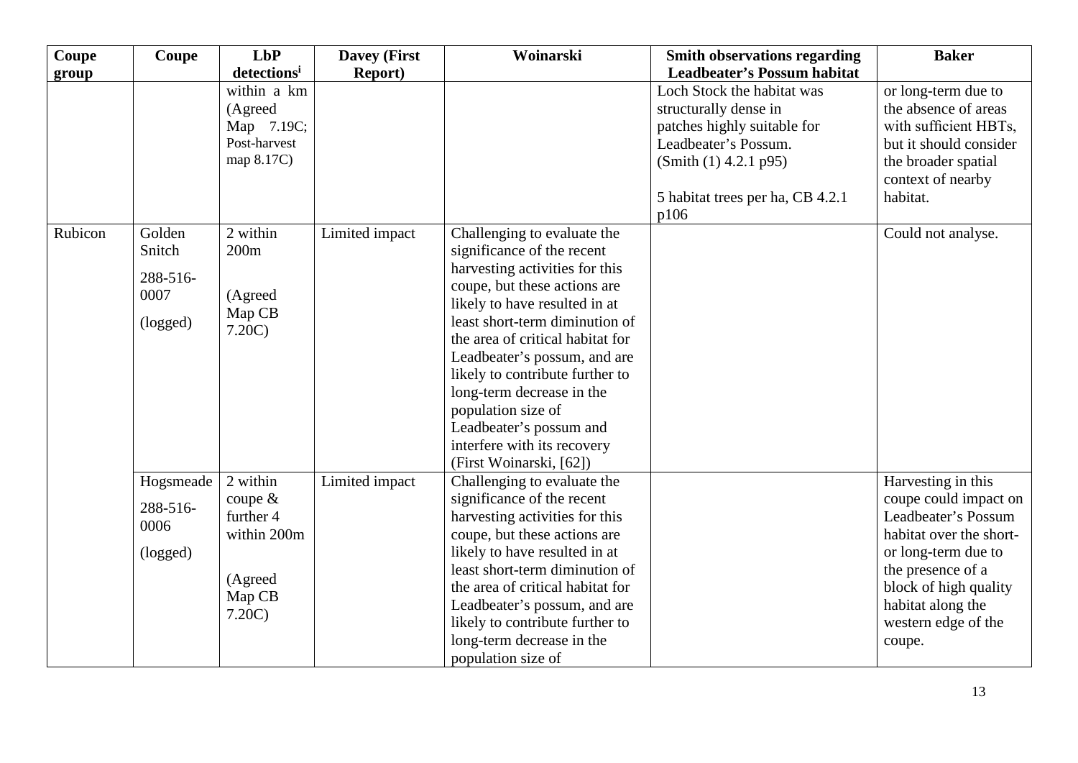| Coupe   | Coupe     | LbP                     | <b>Davey (First</b> | Woinarski                        | <b>Smith observations regarding</b> | <b>Baker</b>            |
|---------|-----------|-------------------------|---------------------|----------------------------------|-------------------------------------|-------------------------|
| group   |           | detections <sup>i</sup> | <b>Report</b> )     |                                  | <b>Leadbeater's Possum habitat</b>  |                         |
|         |           | within a km             |                     |                                  | Loch Stock the habitat was          | or long-term due to     |
|         |           | (Agreed                 |                     |                                  | structurally dense in               | the absence of areas    |
|         |           | Map 7.19C;              |                     |                                  | patches highly suitable for         | with sufficient HBTs,   |
|         |           | Post-harvest            |                     |                                  | Leadbeater's Possum.                | but it should consider  |
|         |           | map 8.17C)              |                     |                                  | (Smith (1) 4.2.1 p95)               | the broader spatial     |
|         |           |                         |                     |                                  |                                     | context of nearby       |
|         |           |                         |                     |                                  | 5 habitat trees per ha, CB 4.2.1    | habitat.                |
|         |           |                         |                     |                                  | p106                                |                         |
| Rubicon | Golden    | $\overline{2}$ within   | Limited impact      | Challenging to evaluate the      |                                     | Could not analyse.      |
|         | Snitch    | 200m                    |                     | significance of the recent       |                                     |                         |
|         | 288-516-  |                         |                     | harvesting activities for this   |                                     |                         |
|         | 0007      | (Agreed                 |                     | coupe, but these actions are     |                                     |                         |
|         |           | Map CB                  |                     | likely to have resulted in at    |                                     |                         |
|         | (logged)  | 7.20C                   |                     | least short-term diminution of   |                                     |                         |
|         |           |                         |                     | the area of critical habitat for |                                     |                         |
|         |           |                         |                     | Leadbeater's possum, and are     |                                     |                         |
|         |           |                         |                     | likely to contribute further to  |                                     |                         |
|         |           |                         |                     | long-term decrease in the        |                                     |                         |
|         |           |                         |                     | population size of               |                                     |                         |
|         |           |                         |                     | Leadbeater's possum and          |                                     |                         |
|         |           |                         |                     | interfere with its recovery      |                                     |                         |
|         |           |                         |                     | (First Woinarski, [62])          |                                     |                         |
|         | Hogsmeade | 2 within                | Limited impact      | Challenging to evaluate the      |                                     | Harvesting in this      |
|         | 288-516-  | coupe $&$               |                     | significance of the recent       |                                     | coupe could impact on   |
|         | 0006      | further 4               |                     | harvesting activities for this   |                                     | Leadbeater's Possum     |
|         |           | within 200m             |                     | coupe, but these actions are     |                                     | habitat over the short- |
|         | (logged)  |                         |                     | likely to have resulted in at    |                                     | or long-term due to     |
|         |           | (Agreed                 |                     | least short-term diminution of   |                                     | the presence of a       |
|         |           | Map CB                  |                     | the area of critical habitat for |                                     | block of high quality   |
|         |           | 7.20C                   |                     | Leadbeater's possum, and are     |                                     | habitat along the       |
|         |           |                         |                     | likely to contribute further to  |                                     | western edge of the     |
|         |           |                         |                     | long-term decrease in the        |                                     | coupe.                  |
|         |           |                         |                     | population size of               |                                     |                         |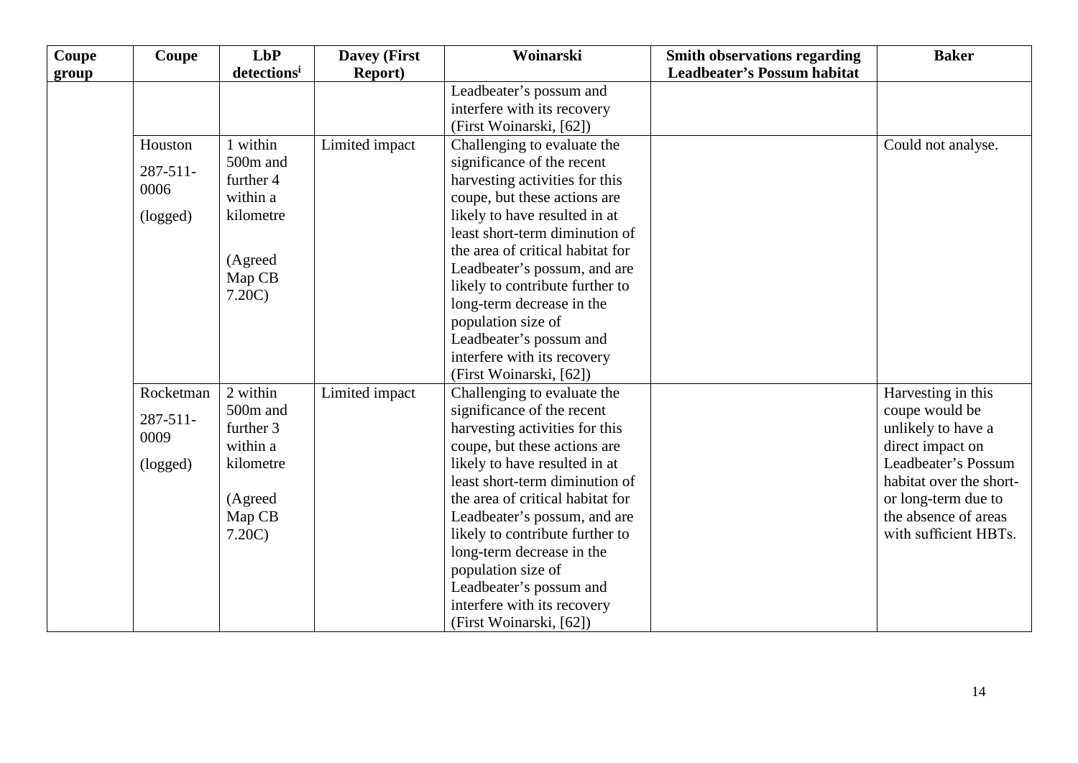| Coupe | Coupe         | LbP         | <b>Davey (First</b> | Woinarski                        | <b>Smith observations regarding</b> | <b>Baker</b>            |
|-------|---------------|-------------|---------------------|----------------------------------|-------------------------------------|-------------------------|
| group |               | detectionsi | <b>Report</b> )     |                                  | <b>Leadbeater's Possum habitat</b>  |                         |
|       |               |             |                     | Leadbeater's possum and          |                                     |                         |
|       |               |             |                     | interfere with its recovery      |                                     |                         |
|       |               |             |                     | (First Woinarski, [62])          |                                     |                         |
|       | Houston       | 1 within    | Limited impact      | Challenging to evaluate the      |                                     | Could not analyse.      |
|       | $287 - 511$   | 500m and    |                     | significance of the recent       |                                     |                         |
|       | 0006          | further 4   |                     | harvesting activities for this   |                                     |                         |
|       |               | within a    |                     | coupe, but these actions are     |                                     |                         |
|       | (logged)      | kilometre   |                     | likely to have resulted in at    |                                     |                         |
|       |               |             |                     | least short-term diminution of   |                                     |                         |
|       |               | (Agreed     |                     | the area of critical habitat for |                                     |                         |
|       |               | Map CB      |                     | Leadbeater's possum, and are     |                                     |                         |
|       |               | 7.20C       |                     | likely to contribute further to  |                                     |                         |
|       |               |             |                     | long-term decrease in the        |                                     |                         |
|       |               |             |                     | population size of               |                                     |                         |
|       |               |             |                     | Leadbeater's possum and          |                                     |                         |
|       |               |             |                     | interfere with its recovery      |                                     |                         |
|       |               |             |                     | (First Woinarski, [62])          |                                     |                         |
|       | Rocketman     | 2 within    | Limited impact      | Challenging to evaluate the      |                                     | Harvesting in this      |
|       | $287 - 511 -$ | 500m and    |                     | significance of the recent       |                                     | coupe would be          |
|       | 0009          | further 3   |                     | harvesting activities for this   |                                     | unlikely to have a      |
|       |               | within a    |                     | coupe, but these actions are     |                                     | direct impact on        |
|       | (logged)      | kilometre   |                     | likely to have resulted in at    |                                     | Leadbeater's Possum     |
|       |               |             |                     | least short-term diminution of   |                                     | habitat over the short- |
|       |               | (Agreed     |                     | the area of critical habitat for |                                     | or long-term due to     |
|       |               | Map CB      |                     | Leadbeater's possum, and are     |                                     | the absence of areas    |
|       |               | 7.20C       |                     | likely to contribute further to  |                                     | with sufficient HBTs.   |
|       |               |             |                     | long-term decrease in the        |                                     |                         |
|       |               |             |                     | population size of               |                                     |                         |
|       |               |             |                     | Leadbeater's possum and          |                                     |                         |
|       |               |             |                     | interfere with its recovery      |                                     |                         |
|       |               |             |                     | (First Woinarski, [62])          |                                     |                         |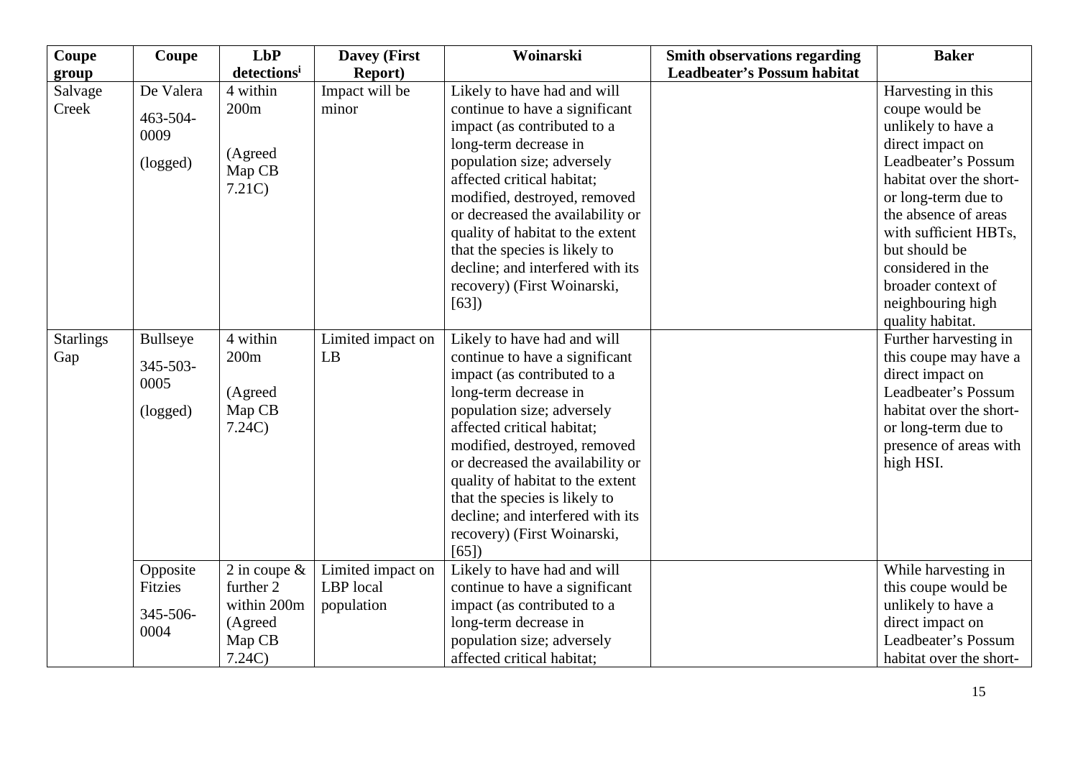| Coupe            | <b>Coupe</b>   | LbP                     | <b>Davey (First</b> | Woinarski                        | <b>Smith observations regarding</b> | <b>Baker</b>            |
|------------------|----------------|-------------------------|---------------------|----------------------------------|-------------------------------------|-------------------------|
| group            |                | detections <sup>i</sup> | <b>Report</b> )     |                                  | <b>Leadbeater's Possum habitat</b>  |                         |
| Salvage          | De Valera      | 4 within                | Impact will be      | Likely to have had and will      |                                     | Harvesting in this      |
| Creek            | 463-504-       | 200m                    | minor               | continue to have a significant   |                                     | coupe would be          |
|                  | 0009           |                         |                     | impact (as contributed to a      |                                     | unlikely to have a      |
|                  |                | (Agreed                 |                     | long-term decrease in            |                                     | direct impact on        |
|                  | (logged)       | Map CB                  |                     | population size; adversely       |                                     | Leadbeater's Possum     |
|                  |                | 7.21C                   |                     | affected critical habitat;       |                                     | habitat over the short- |
|                  |                |                         |                     | modified, destroyed, removed     |                                     | or long-term due to     |
|                  |                |                         |                     | or decreased the availability or |                                     | the absence of areas    |
|                  |                |                         |                     | quality of habitat to the extent |                                     | with sufficient HBTs,   |
|                  |                |                         |                     | that the species is likely to    |                                     | but should be           |
|                  |                |                         |                     | decline; and interfered with its |                                     | considered in the       |
|                  |                |                         |                     | recovery) (First Woinarski,      |                                     | broader context of      |
|                  |                |                         |                     | [63]                             |                                     | neighbouring high       |
|                  |                |                         |                     |                                  |                                     | quality habitat.        |
| <b>Starlings</b> | Bullseye       | 4 within                | Limited impact on   | Likely to have had and will      |                                     | Further harvesting in   |
| Gap              | 345-503-       | 200m                    | LB                  | continue to have a significant   |                                     | this coupe may have a   |
|                  | 0005           |                         |                     | impact (as contributed to a      |                                     | direct impact on        |
|                  |                | (Agreed                 |                     | long-term decrease in            |                                     | Leadbeater's Possum     |
|                  | (logged)       | Map CB                  |                     | population size; adversely       |                                     | habitat over the short- |
|                  |                | 7.24C                   |                     | affected critical habitat;       |                                     | or long-term due to     |
|                  |                |                         |                     | modified, destroyed, removed     |                                     | presence of areas with  |
|                  |                |                         |                     | or decreased the availability or |                                     | high HSI.               |
|                  |                |                         |                     | quality of habitat to the extent |                                     |                         |
|                  |                |                         |                     | that the species is likely to    |                                     |                         |
|                  |                |                         |                     | decline; and interfered with its |                                     |                         |
|                  |                |                         |                     | recovery) (First Woinarski,      |                                     |                         |
|                  |                |                         |                     | [65]                             |                                     |                         |
|                  | Opposite       | 2 in coupe $\&$         | Limited impact on   | Likely to have had and will      |                                     | While harvesting in     |
|                  | <b>Fitzies</b> | further 2               | LBP local           | continue to have a significant   |                                     | this coupe would be     |
|                  | 345-506-       | within 200m             | population          | impact (as contributed to a      |                                     | unlikely to have a      |
|                  | 0004           | (Agreed                 |                     | long-term decrease in            |                                     | direct impact on        |
|                  |                | Map CB                  |                     | population size; adversely       |                                     | Leadbeater's Possum     |
|                  |                | 7.24C                   |                     | affected critical habitat;       |                                     | habitat over the short- |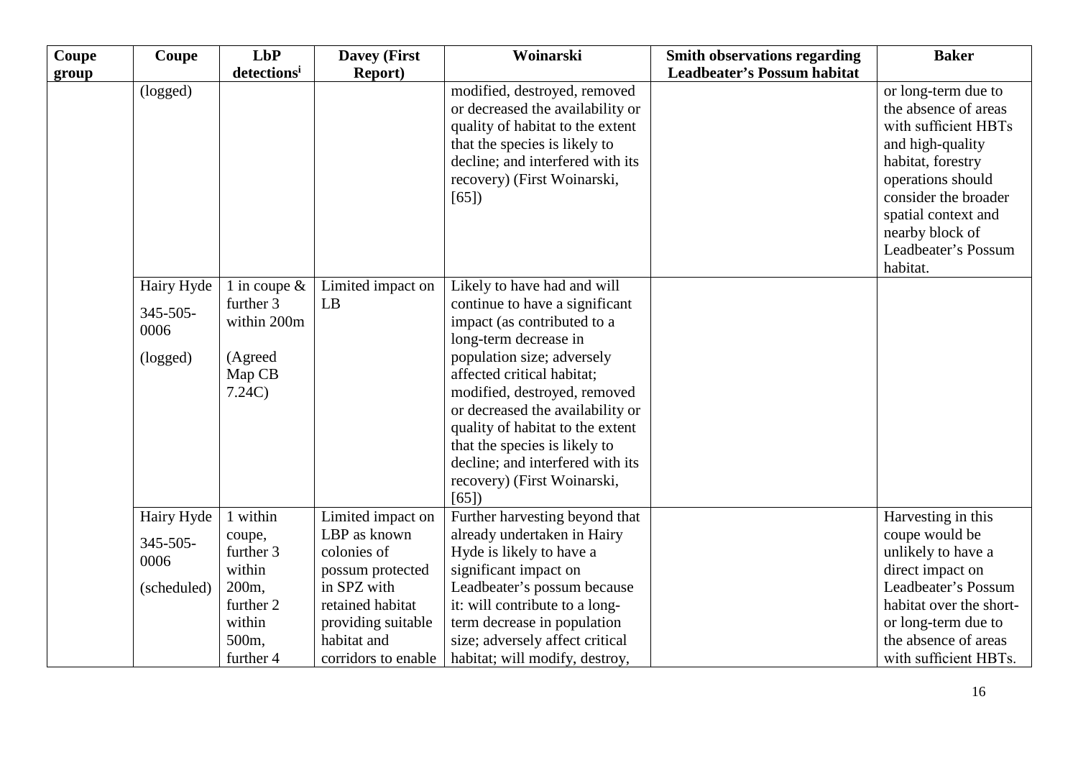| Coupe | <b>Coupe</b>                                    | LbP                                                                       | <b>Davey (First</b>                             | Woinarski                                                                                                                                                                                                                                                                                                                                                                                             | <b>Smith observations regarding</b> | <b>Baker</b>                                                                                                                                                                                                                           |
|-------|-------------------------------------------------|---------------------------------------------------------------------------|-------------------------------------------------|-------------------------------------------------------------------------------------------------------------------------------------------------------------------------------------------------------------------------------------------------------------------------------------------------------------------------------------------------------------------------------------------------------|-------------------------------------|----------------------------------------------------------------------------------------------------------------------------------------------------------------------------------------------------------------------------------------|
| group |                                                 | detectionsi                                                               | <b>Report</b> )                                 |                                                                                                                                                                                                                                                                                                                                                                                                       | <b>Leadbeater's Possum habitat</b>  |                                                                                                                                                                                                                                        |
|       | (logged)                                        |                                                                           |                                                 | modified, destroyed, removed<br>or decreased the availability or<br>quality of habitat to the extent<br>that the species is likely to<br>decline; and interfered with its<br>recovery) (First Woinarski,<br>[65]                                                                                                                                                                                      |                                     | or long-term due to<br>the absence of areas<br>with sufficient HBTs<br>and high-quality<br>habitat, forestry<br>operations should<br>consider the broader<br>spatial context and<br>nearby block of<br>Leadbeater's Possum<br>habitat. |
|       | Hairy Hyde<br>$345 - 505 -$<br>0006<br>(logged) | 1 in coupe $\&$<br>further 3<br>within 200m<br>(Agreed<br>Map CB<br>7.24C | Limited impact on<br>LB                         | Likely to have had and will<br>continue to have a significant<br>impact (as contributed to a<br>long-term decrease in<br>population size; adversely<br>affected critical habitat;<br>modified, destroyed, removed<br>or decreased the availability or<br>quality of habitat to the extent<br>that the species is likely to<br>decline; and interfered with its<br>recovery) (First Woinarski,<br>[65] |                                     |                                                                                                                                                                                                                                        |
|       | Hairy Hyde                                      | 1 within                                                                  | Limited impact on                               | Further harvesting beyond that                                                                                                                                                                                                                                                                                                                                                                        |                                     | Harvesting in this                                                                                                                                                                                                                     |
|       | 345-505-<br>0006                                | coupe,<br>further 3<br>within                                             | LBP as known<br>colonies of<br>possum protected | already undertaken in Hairy<br>Hyde is likely to have a<br>significant impact on                                                                                                                                                                                                                                                                                                                      |                                     | coupe would be<br>unlikely to have a<br>direct impact on                                                                                                                                                                               |
|       | (scheduled)                                     | 200m,                                                                     | in SPZ with                                     | Leadbeater's possum because                                                                                                                                                                                                                                                                                                                                                                           |                                     | Leadbeater's Possum                                                                                                                                                                                                                    |
|       |                                                 | further 2                                                                 | retained habitat                                | it: will contribute to a long-                                                                                                                                                                                                                                                                                                                                                                        |                                     | habitat over the short-                                                                                                                                                                                                                |
|       |                                                 | within                                                                    | providing suitable                              | term decrease in population                                                                                                                                                                                                                                                                                                                                                                           |                                     | or long-term due to                                                                                                                                                                                                                    |
|       |                                                 | 500m,                                                                     | habitat and                                     | size; adversely affect critical                                                                                                                                                                                                                                                                                                                                                                       |                                     | the absence of areas                                                                                                                                                                                                                   |
|       |                                                 | further 4                                                                 | corridors to enable                             | habitat; will modify, destroy,                                                                                                                                                                                                                                                                                                                                                                        |                                     | with sufficient HBTs.                                                                                                                                                                                                                  |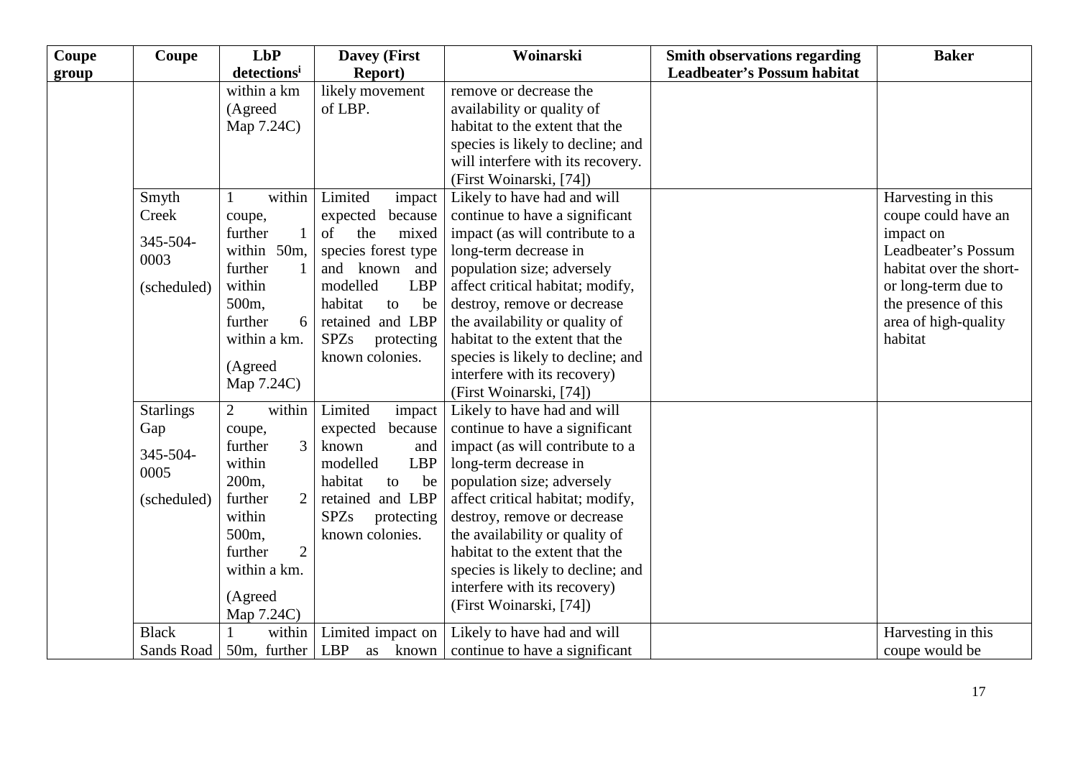| Coupe | Coupe            | <b>LbP</b>                | <b>Davey (First)</b>          | Woinarski                         | <b>Smith observations regarding</b> | <b>Baker</b>            |
|-------|------------------|---------------------------|-------------------------------|-----------------------------------|-------------------------------------|-------------------------|
| group |                  | detectionsi               | <b>Report</b> )               |                                   | <b>Leadbeater's Possum habitat</b>  |                         |
|       |                  | within a km               | likely movement               | remove or decrease the            |                                     |                         |
|       |                  | (Agreed                   | of LBP.                       | availability or quality of        |                                     |                         |
|       |                  | Map 7.24C)                |                               | habitat to the extent that the    |                                     |                         |
|       |                  |                           |                               | species is likely to decline; and |                                     |                         |
|       |                  |                           |                               | will interfere with its recovery. |                                     |                         |
|       |                  |                           |                               | (First Woinarski, [74])           |                                     |                         |
|       | Smyth            | within                    | Limited<br>impact             | Likely to have had and will       |                                     | Harvesting in this      |
|       | Creek            | coupe,                    | because<br>expected           | continue to have a significant    |                                     | coupe could have an     |
|       | 345-504-         | further<br>$\mathbf{1}$   | <sub>of</sub><br>the<br>mixed | impact (as will contribute to a   |                                     | impact on               |
|       | 0003             | within 50m,               | species forest type           | long-term decrease in             |                                     | Leadbeater's Possum     |
|       |                  | further                   | and known and                 | population size; adversely        |                                     | habitat over the short- |
|       | (scheduled)      | within                    | modelled<br><b>LBP</b>        | affect critical habitat; modify,  |                                     | or long-term due to     |
|       |                  | 500 <sub>m</sub>          | habitat<br>be<br>to           | destroy, remove or decrease       |                                     | the presence of this    |
|       |                  | further<br>6              | retained and LBP              | the availability or quality of    |                                     | area of high-quality    |
|       |                  | within a km.              | <b>SPZs</b><br>protecting     | habitat to the extent that the    |                                     | habitat                 |
|       |                  | (Agreed                   | known colonies.               | species is likely to decline; and |                                     |                         |
|       |                  | Map 7.24C)                |                               | interfere with its recovery)      |                                     |                         |
|       |                  |                           |                               | (First Woinarski, [74])           |                                     |                         |
|       | <b>Starlings</b> | $\overline{2}$<br>within  | Limited<br>impact             | Likely to have had and will       |                                     |                         |
|       | Gap              | coupe,                    | expected<br>because           | continue to have a significant    |                                     |                         |
|       | 345-504-         | 3<br>further              | known<br>and                  | impact (as will contribute to a   |                                     |                         |
|       | 0005             | within                    | modelled<br><b>LBP</b>        | long-term decrease in             |                                     |                         |
|       |                  | 200m,                     | habitat<br>be<br>to           | population size; adversely        |                                     |                         |
|       | (scheduled)      | further<br>$\overline{2}$ | retained and LBP              | affect critical habitat; modify,  |                                     |                         |
|       |                  | within                    | <b>SPZs</b><br>protecting     | destroy, remove or decrease       |                                     |                         |
|       |                  | 500m,                     | known colonies.               | the availability or quality of    |                                     |                         |
|       |                  | $\overline{2}$<br>further |                               | habitat to the extent that the    |                                     |                         |
|       |                  | within a km.              |                               | species is likely to decline; and |                                     |                         |
|       |                  | (Agreed                   |                               | interfere with its recovery)      |                                     |                         |
|       |                  | Map 7.24C)                |                               | (First Woinarski, [74])           |                                     |                         |
|       | <b>Black</b>     | within                    | Limited impact on             | Likely to have had and will       |                                     | Harvesting in this      |
|       | Sands Road       | 50m, further              | LBP<br>as known               | continue to have a significant    |                                     | coupe would be          |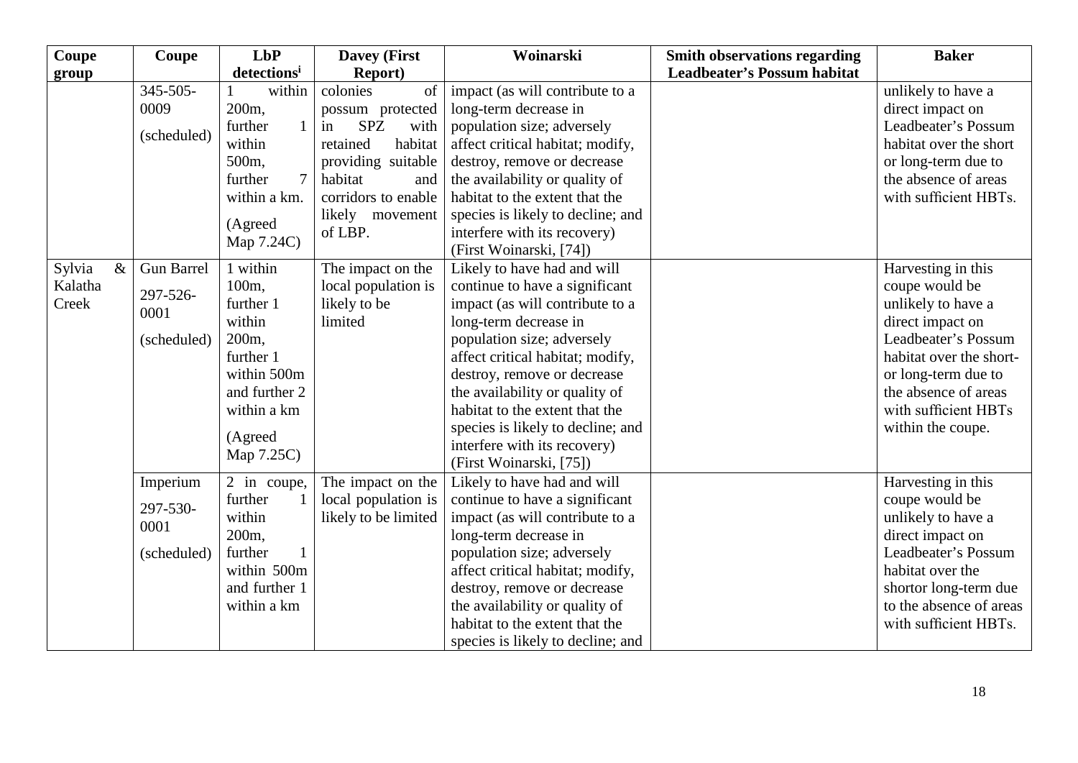| Coupe          | Coupe             | LbP                       | <b>Davey (First</b>      | Woinarski                         | <b>Smith observations regarding</b> | <b>Baker</b>            |
|----------------|-------------------|---------------------------|--------------------------|-----------------------------------|-------------------------------------|-------------------------|
| group          |                   | detections <sup>i</sup>   | <b>Report</b> )          |                                   | <b>Leadbeater's Possum habitat</b>  |                         |
|                | 345-505-          | within                    | colonies<br>of           | impact (as will contribute to a   |                                     | unlikely to have a      |
|                | 0009              | 200 <sub>m</sub>          | possum protected         | long-term decrease in             |                                     | direct impact on        |
|                | (scheduled)       | further<br>$\mathbf{1}$   | <b>SPZ</b><br>with<br>in | population size; adversely        |                                     | Leadbeater's Possum     |
|                |                   | within                    | retained<br>habitat      | affect critical habitat; modify,  |                                     | habitat over the short  |
|                |                   | 500 <sub>m</sub>          | providing suitable       | destroy, remove or decrease       |                                     | or long-term due to     |
|                |                   | $\overline{7}$<br>further | habitat<br>and           | the availability or quality of    |                                     | the absence of areas    |
|                |                   | within a km.              | corridors to enable      | habitat to the extent that the    |                                     | with sufficient HBTs.   |
|                |                   | (Agreed                   | likely movement          | species is likely to decline; and |                                     |                         |
|                |                   | Map 7.24C)                | of LBP.                  | interfere with its recovery)      |                                     |                         |
|                |                   |                           |                          | (First Woinarski, [74])           |                                     |                         |
| Sylvia<br>$\&$ | <b>Gun Barrel</b> | 1 within                  | The impact on the        | Likely to have had and will       |                                     | Harvesting in this      |
| Kalatha        | 297-526-          | 100 <sub>m</sub>          | local population is      | continue to have a significant    |                                     | coupe would be          |
| Creek          | 0001              | further 1                 | likely to be             | impact (as will contribute to a   |                                     | unlikely to have a      |
|                |                   | within                    | limited                  | long-term decrease in             |                                     | direct impact on        |
|                | (scheduled)       | 200 <sub>m</sub>          |                          | population size; adversely        |                                     | Leadbeater's Possum     |
|                |                   | further 1                 |                          | affect critical habitat; modify,  |                                     | habitat over the short- |
|                |                   | within 500m               |                          | destroy, remove or decrease       |                                     | or long-term due to     |
|                |                   | and further 2             |                          | the availability or quality of    |                                     | the absence of areas    |
|                |                   | within a km               |                          | habitat to the extent that the    |                                     | with sufficient HBTs    |
|                |                   | (Agreed                   |                          | species is likely to decline; and |                                     | within the coupe.       |
|                |                   | Map 7.25C)                |                          | interfere with its recovery)      |                                     |                         |
|                |                   |                           |                          | (First Woinarski, [75])           |                                     |                         |
|                | Imperium          | 2 in coupe,               | The impact on the        | Likely to have had and will       |                                     | Harvesting in this      |
|                | 297-530-          | further                   | local population is      | continue to have a significant    |                                     | coupe would be          |
|                | 0001              | within                    | likely to be limited     | impact (as will contribute to a   |                                     | unlikely to have a      |
|                |                   | 200 <sub>m</sub>          |                          | long-term decrease in             |                                     | direct impact on        |
|                | (scheduled)       | further<br>1              |                          | population size; adversely        |                                     | Leadbeater's Possum     |
|                |                   | within 500m               |                          | affect critical habitat; modify,  |                                     | habitat over the        |
|                |                   | and further 1             |                          | destroy, remove or decrease       |                                     | shortor long-term due   |
|                |                   | within a km               |                          | the availability or quality of    |                                     | to the absence of areas |
|                |                   |                           |                          | habitat to the extent that the    |                                     | with sufficient HBTs.   |
|                |                   |                           |                          | species is likely to decline; and |                                     |                         |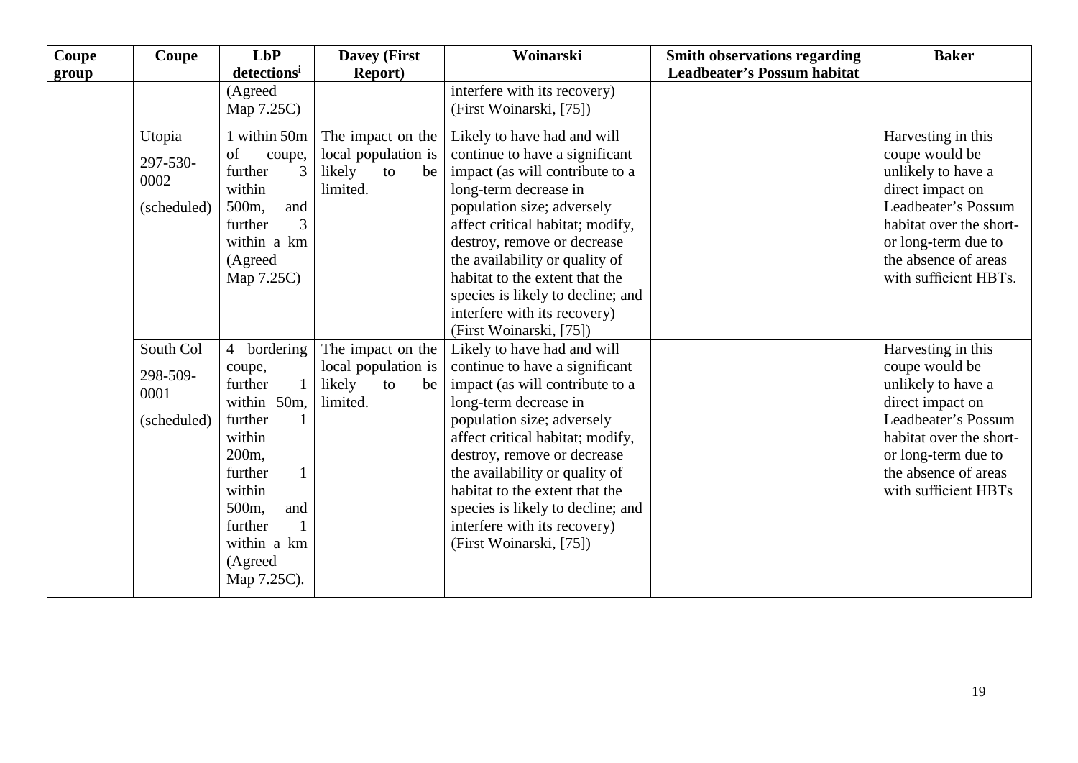| Coupe<br>group | Coupe                                        | LbP<br>detections <sup>i</sup>                                                                                                                                                               | <b>Davey (First</b><br><b>Report</b> )                                     | Woinarski                                                                                                                                                                                                                                                                                                                                                                                      | <b>Smith observations regarding</b><br><b>Leadbeater's Possum habitat</b> | <b>Baker</b>                                                                                                                                                                                             |
|----------------|----------------------------------------------|----------------------------------------------------------------------------------------------------------------------------------------------------------------------------------------------|----------------------------------------------------------------------------|------------------------------------------------------------------------------------------------------------------------------------------------------------------------------------------------------------------------------------------------------------------------------------------------------------------------------------------------------------------------------------------------|---------------------------------------------------------------------------|----------------------------------------------------------------------------------------------------------------------------------------------------------------------------------------------------------|
|                |                                              | (Agreed<br>Map 7.25C)                                                                                                                                                                        |                                                                            | interfere with its recovery)<br>(First Woinarski, [75])                                                                                                                                                                                                                                                                                                                                        |                                                                           |                                                                                                                                                                                                          |
|                | Utopia<br>297-530-<br>0002<br>(scheduled)    | 1 within 50m<br>of<br>coupe,<br>further<br>3<br>within<br>and<br>500m,<br>3<br>further<br>within a km<br>(Agreed<br>Map 7.25C)                                                               | The impact on the<br>local population is<br>likely<br>to<br>be<br>limited. | Likely to have had and will<br>continue to have a significant<br>impact (as will contribute to a<br>long-term decrease in<br>population size; adversely<br>affect critical habitat; modify,<br>destroy, remove or decrease<br>the availability or quality of<br>habitat to the extent that the<br>species is likely to decline; and<br>interfere with its recovery)<br>(First Woinarski, [75]) |                                                                           | Harvesting in this<br>coupe would be<br>unlikely to have a<br>direct impact on<br>Leadbeater's Possum<br>habitat over the short-<br>or long-term due to<br>the absence of areas<br>with sufficient HBTs. |
|                | South Col<br>298-509-<br>0001<br>(scheduled) | 4 bordering<br>coupe,<br>further<br>within 50m,<br>further<br>within<br>200 <sub>m</sub><br>further<br>within<br>500 <sub>m</sub><br>and<br>further<br>within a km<br>(Agreed<br>Map 7.25C). | The impact on the<br>local population is<br>likely<br>to<br>be<br>limited. | Likely to have had and will<br>continue to have a significant<br>impact (as will contribute to a<br>long-term decrease in<br>population size; adversely<br>affect critical habitat; modify,<br>destroy, remove or decrease<br>the availability or quality of<br>habitat to the extent that the<br>species is likely to decline; and<br>interfere with its recovery)<br>(First Woinarski, [75]) |                                                                           | Harvesting in this<br>coupe would be<br>unlikely to have a<br>direct impact on<br>Leadbeater's Possum<br>habitat over the short-<br>or long-term due to<br>the absence of areas<br>with sufficient HBTs  |